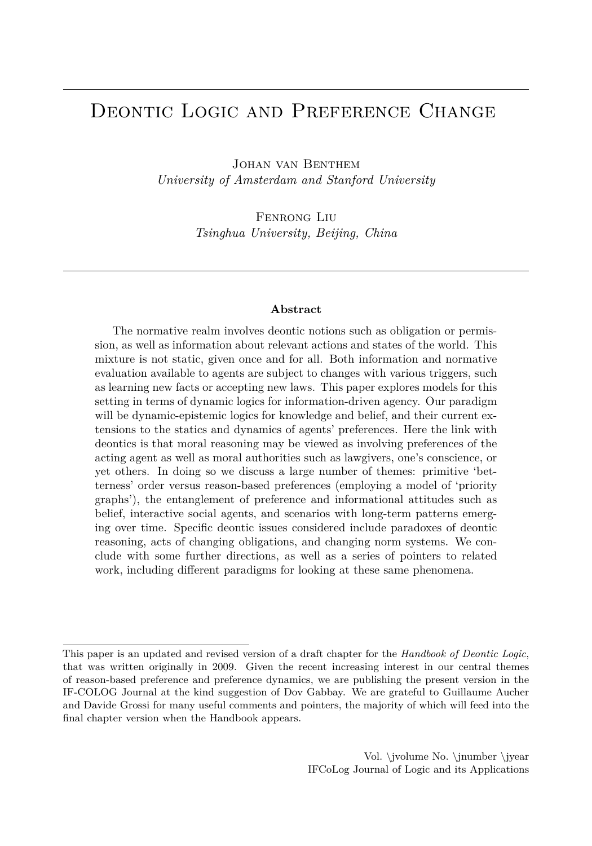# <span id="page-0-0"></span>DEONTIC LOGIC AND PREFERENCE CHANGE

Johan van Benthem *University of Amsterdam and Stanford University*

> Fenrong Liu *Tsinghua University, Beijing, China*

#### **Abstract**

The normative realm involves deontic notions such as obligation or permission, as well as information about relevant actions and states of the world. This mixture is not static, given once and for all. Both information and normative evaluation available to agents are subject to changes with various triggers, such as learning new facts or accepting new laws. This paper explores models for this setting in terms of dynamic logics for information-driven agency. Our paradigm will be dynamic-epistemic logics for knowledge and belief, and their current extensions to the statics and dynamics of agents' preferences. Here the link with deontics is that moral reasoning may be viewed as involving preferences of the acting agent as well as moral authorities such as lawgivers, one's conscience, or yet others. In doing so we discuss a large number of themes: primitive 'betterness' order versus reason-based preferences (employing a model of 'priority graphs'), the entanglement of preference and informational attitudes such as belief, interactive social agents, and scenarios with long-term patterns emerging over time. Specific deontic issues considered include paradoxes of deontic reasoning, acts of changing obligations, and changing norm systems. We conclude with some further directions, as well as a series of pointers to related work, including different paradigms for looking at these same phenomena.

This paper is an updated and revised version of a draft chapter for the *Handbook of Deontic Logic*, that was written originally in 2009. Given the recent increasing interest in our central themes of reason-based preference and preference dynamics, we are publishing the present version in the IF-COLOG Journal at the kind suggestion of Dov Gabbay. We are grateful to Guillaume Aucher and Davide Grossi for many useful comments and pointers, the majority of which will feed into the final chapter version when the Handbook appears.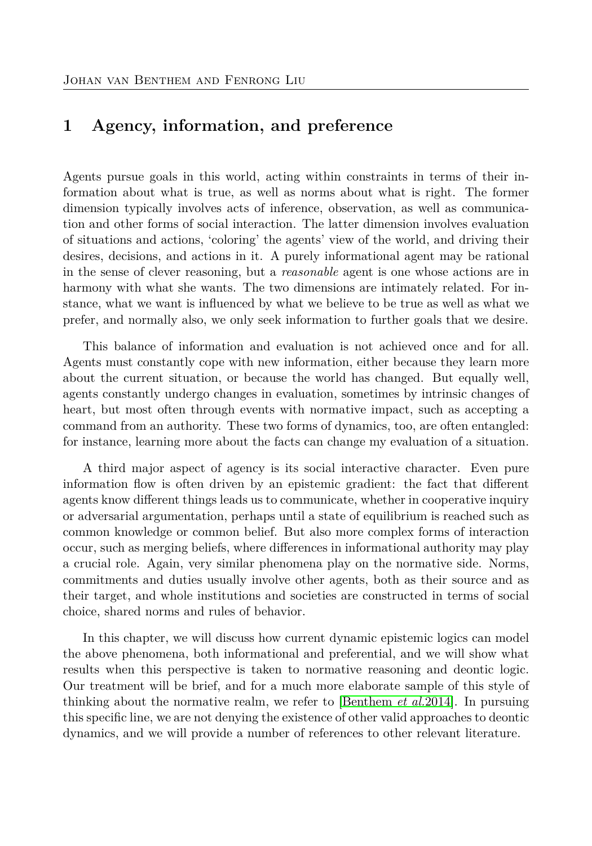## **1 Agency, information, and preference**

Agents pursue goals in this world, acting within constraints in terms of their information about what is true, as well as norms about what is right. The former dimension typically involves acts of inference, observation, as well as communication and other forms of social interaction. The latter dimension involves evaluation of situations and actions, 'coloring' the agents' view of the world, and driving their desires, decisions, and actions in it. A purely informational agent may be rational in the sense of clever reasoning, but a *reasonable* agent is one whose actions are in harmony with what she wants. The two dimensions are intimately related. For instance, what we want is influenced by what we believe to be true as well as what we prefer, and normally also, we only seek information to further goals that we desire.

This balance of information and evaluation is not achieved once and for all. Agents must constantly cope with new information, either because they learn more about the current situation, or because the world has changed. But equally well, agents constantly undergo changes in evaluation, sometimes by intrinsic changes of heart, but most often through events with normative impact, such as accepting a command from an authority. These two forms of dynamics, too, are often entangled: for instance, learning more about the facts can change my evaluation of a situation.

A third major aspect of agency is its social interactive character. Even pure information flow is often driven by an epistemic gradient: the fact that different agents know different things leads us to communicate, whether in cooperative inquiry or adversarial argumentation, perhaps until a state of equilibrium is reached such as common knowledge or common belief. But also more complex forms of interaction occur, such as merging beliefs, where differences in informational authority may play a crucial role. Again, very similar phenomena play on the normative side. Norms, commitments and duties usually involve other agents, both as their source and as their target, and whole institutions and societies are constructed in terms of social choice, shared norms and rules of behavior.

In this chapter, we will discuss how current dynamic epistemic logics can model the above phenomena, both informational and preferential, and we will show what results when this perspective is taken to normative reasoning and deontic logic. Our treatment will be brief, and for a much more elaborate sample of this style of thinking about the normative realm, we refer to [\[Benthem](#page-39-0) *et al.*2014]. In pursuing this specific line, we are not denying the existence of other valid approaches to deontic dynamics, and we will provide a number of references to other relevant literature.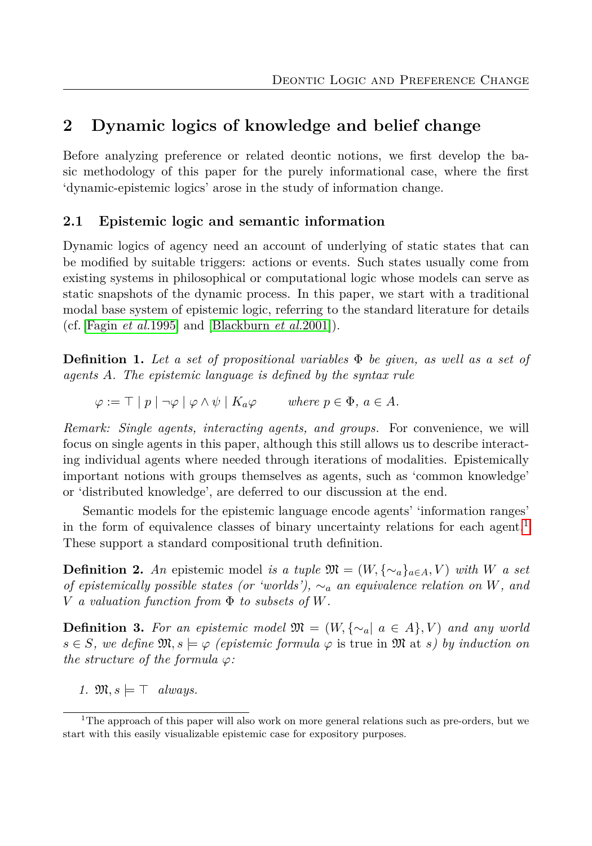# **2 Dynamic logics of knowledge and belief change**

Before analyzing preference or related deontic notions, we first develop the basic methodology of this paper for the purely informational case, where the first 'dynamic-epistemic logics' arose in the study of information change.

### **2.1 Epistemic logic and semantic information**

Dynamic logics of agency need an account of underlying of static states that can be modified by suitable triggers: actions or events. Such states usually come from existing systems in philosophical or computational logic whose models can serve as static snapshots of the dynamic process. In this paper, we start with a traditional modal base system of epistemic logic, referring to the standard literature for details (cf. [\[Fagin](#page-40-0) *et al.*1995] and [\[Blackburn](#page-39-1) *et al.*2001]).

**Definition 1.** *Let a set of propositional variables* Φ *be given, as well as a set of agents A. The epistemic language is defined by the syntax rule*

 $\varphi := \top | p | \neg \varphi | \varphi \wedge \psi | K_a \varphi \quad \text{where } p \in \Phi, a \in A.$ 

*Remark: Single agents, interacting agents, and groups.* For convenience, we will focus on single agents in this paper, although this still allows us to describe interacting individual agents where needed through iterations of modalities. Epistemically important notions with groups themselves as agents, such as 'common knowledge' or 'distributed knowledge', are deferred to our discussion at the end.

Semantic models for the epistemic language encode agents' 'information ranges' in the form of equivalence classes of binary uncertainty relations for each agent.<sup>[1](#page-0-0)</sup> These support a standard compositional truth definition.

**Definition 2.** An epistemic model *is a tuple*  $\mathfrak{M} = (W, \{\sim_a\}_{a \in A}, V)$  *with W a set of epistemically possible states (or 'worlds'),* ∼*<sup>a</sup> an equivalence relation on W, and V a valuation function from* Φ *to subsets of W.*

**Definition 3.** For an epistemic model  $\mathfrak{M} = (W, \{\sim_a | a \in A\}, V)$  and any world  $s \in S$ *, we define*  $\mathfrak{M}, s \models \varphi$  *(epistemic formula*  $\varphi$  is true in  $\mathfrak{M}$  at *s)* by *induction on the structure of the formula*  $\varphi$ *:* 

1.  $\mathfrak{M}, s \models \top$  *always.* 

<sup>&</sup>lt;sup>1</sup>The approach of this paper will also work on more general relations such as pre-orders, but we start with this easily visualizable epistemic case for expository purposes.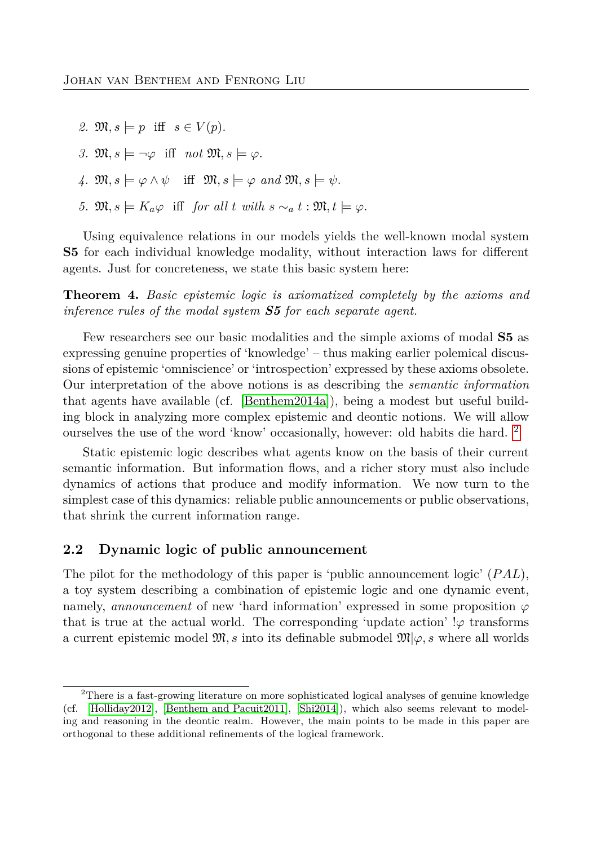2.  $\mathfrak{M}, s \models p$  iff  $s \in V(p)$ .

*3.*  $\mathfrak{M}, s \models \neg \varphi$  iff  $not \mathfrak{M}, s \models \varphi$ .

 $\mathcal{A}$ *.*  $\mathfrak{M}, s \models \varphi \land \psi$  iff  $\mathfrak{M}, s \models \varphi$  and  $\mathfrak{M}, s \models \psi$ *.* 

*5.*  $\mathfrak{M}, s \models K_a \varphi$  iff *for all t with*  $s \sim_a t : \mathfrak{M}, t \models \varphi$ .

Using equivalence relations in our models yields the well-known modal system **S5** for each individual knowledge modality, without interaction laws for different agents. Just for concreteness, we state this basic system here:

**Theorem 4.** *Basic epistemic logic is axiomatized completely by the axioms and inference rules of the modal system S5 for each separate agent.*

Few researchers see our basic modalities and the simple axioms of modal **S5** as expressing genuine properties of 'knowledge' – thus making earlier polemical discussions of epistemic 'omniscience' or 'introspection' expressed by these axioms obsolete. Our interpretation of the above notions is as describing the *semantic information* that agents have available (cf. [\[Benthem2014a\]](#page-39-2)), being a modest but useful building block in analyzing more complex epistemic and deontic notions. We will allow ourselves the use of the word 'know' occasionally, however: old habits die hard. [2](#page-0-0)

Static epistemic logic describes what agents know on the basis of their current semantic information. But information flows, and a richer story must also include dynamics of actions that produce and modify information. We now turn to the simplest case of this dynamics: reliable public announcements or public observations, that shrink the current information range.

#### **2.2 Dynamic logic of public announcement**

The pilot for the methodology of this paper is 'public announcement logic' (*P AL*), a toy system describing a combination of epistemic logic and one dynamic event, namely, *announcement* of new 'hard information' expressed in some proposition  $\varphi$ that is true at the actual world. The corresponding 'update action'  $\varphi$  transforms a current epistemic model  $\mathfrak{M}, s$  into its definable submodel  $\mathfrak{M}(\varphi, s$  where all worlds

<sup>&</sup>lt;sup>2</sup>There is a fast-growing literature on more sophisticated logical analyses of genuine knowledge (cf. [\[Holliday2012\]](#page-42-0), [\[Benthem and Pacuit2011\]](#page-38-0), [\[Shi2014\]](#page-45-0)), which also seems relevant to modeling and reasoning in the deontic realm. However, the main points to be made in this paper are orthogonal to these additional refinements of the logical framework.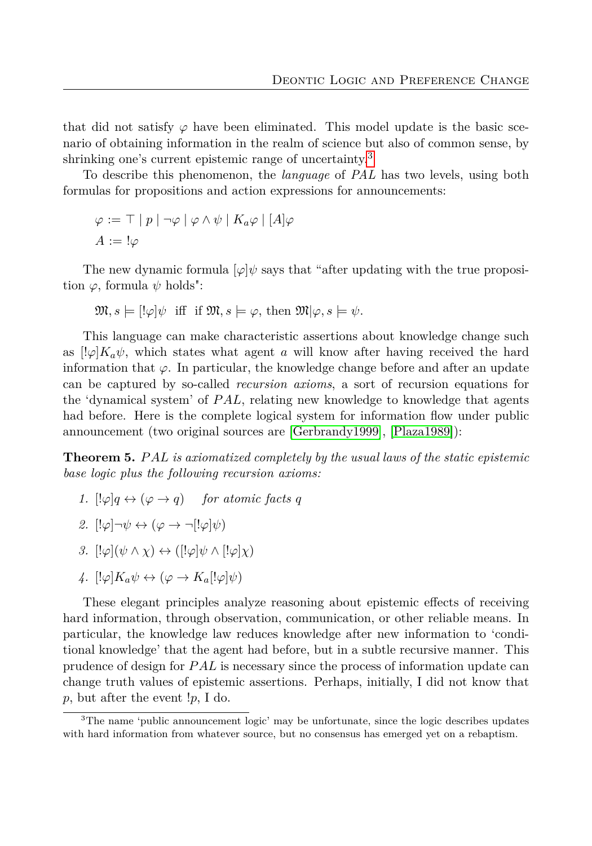that did not satisfy  $\varphi$  have been eliminated. This model update is the basic scenario of obtaining information in the realm of science but also of common sense, by shrinking one's current epistemic range of uncertainty.<sup>[3](#page-0-0)</sup>

To describe this phenomenon, the *language* of *PAL* has two levels, using both formulas for propositions and action expressions for announcements:

$$
\varphi := \top | p | \neg \varphi | \varphi \land \psi | K_a \varphi | [A] \varphi
$$

$$
A := !\varphi
$$

The new dynamic formula  $\varphi$  says that "after updating with the true proposition *ϕ*, formula *ψ* holds":

$$
\mathfrak{M}, s \models [\psi]\psi \text{ iff if } \mathfrak{M}, s \models \varphi, \text{ then } \mathfrak{M}|\varphi, s \models \psi.
$$

This language can make characteristic assertions about knowledge change such as  $[\psi]K_a\psi$ , which states what agent *a* will know after having received the hard information that *ϕ*. In particular, the knowledge change before and after an update can be captured by so-called *recursion axioms*, a sort of recursion equations for the 'dynamical system' of *P AL*, relating new knowledge to knowledge that agents had before. Here is the complete logical system for information flow under public announcement (two original sources are [\[Gerbrandy1999\]](#page-40-1), [\[Plaza1989\]](#page-44-0)):

**Theorem 5.** *P AL is axiomatized completely by the usual laws of the static epistemic base logic plus the following recursion axioms:*

- *1.*  $[!\varphi]q \leftrightarrow (\varphi \rightarrow q)$  *for atomic facts q*
- *2.*  $[\phi] \neg \psi \leftrightarrow (\varphi \rightarrow \neg [!\varphi] \psi)$
- *3.*  $[\psi](\psi \wedge \chi) \leftrightarrow ([\psi](\psi \wedge \psi) \wedge \psi)$
- $4.$   $\left[\psi\right]K_a\psi \leftrightarrow \left(\varphi \rightarrow K_a\left[\psi\right]\psi\right)$

These elegant principles analyze reasoning about epistemic effects of receiving hard information, through observation, communication, or other reliable means. In particular, the knowledge law reduces knowledge after new information to 'conditional knowledge' that the agent had before, but in a subtle recursive manner. This prudence of design for *P AL* is necessary since the process of information update can change truth values of epistemic assertions. Perhaps, initially, I did not know that *p*, but after the event !*p*, I do.

<sup>&</sup>lt;sup>3</sup>The name 'public announcement logic' may be unfortunate, since the logic describes updates with hard information from whatever source, but no consensus has emerged yet on a rebaptism.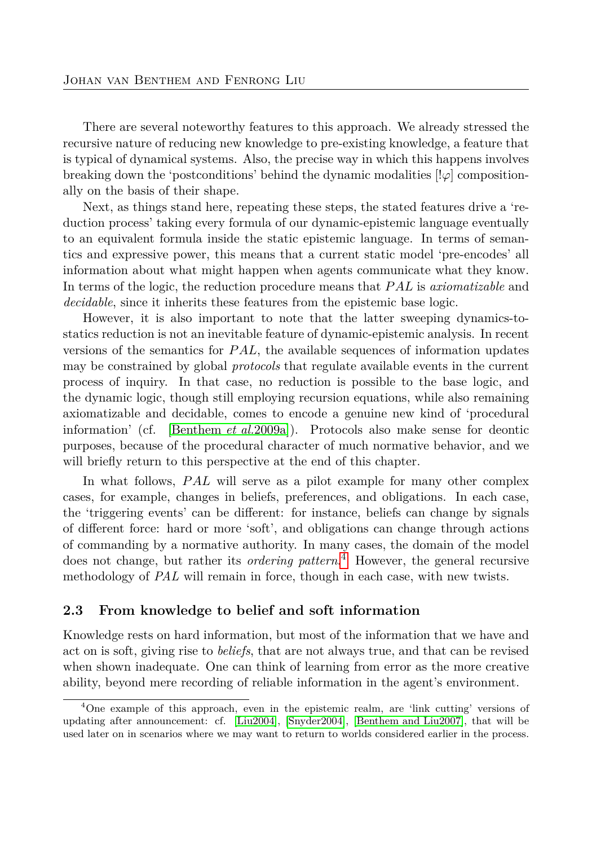There are several noteworthy features to this approach. We already stressed the recursive nature of reducing new knowledge to pre-existing knowledge, a feature that is typical of dynamical systems. Also, the precise way in which this happens involves breaking down the 'postconditions' behind the dynamic modalities [!*ϕ*] compositionally on the basis of their shape.

Next, as things stand here, repeating these steps, the stated features drive a 'reduction process' taking every formula of our dynamic-epistemic language eventually to an equivalent formula inside the static epistemic language. In terms of semantics and expressive power, this means that a current static model 'pre-encodes' all information about what might happen when agents communicate what they know. In terms of the logic, the reduction procedure means that *P AL* is *axiomatizable* and *decidable*, since it inherits these features from the epistemic base logic.

However, it is also important to note that the latter sweeping dynamics-tostatics reduction is not an inevitable feature of dynamic-epistemic analysis. In recent versions of the semantics for *P AL*, the available sequences of information updates may be constrained by global *protocols* that regulate available events in the current process of inquiry. In that case, no reduction is possible to the base logic, and the dynamic logic, though still employing recursion equations, while also remaining axiomatizable and decidable, comes to encode a genuine new kind of 'procedural information' (cf. [\[Benthem](#page-38-1) *et al.*2009a]). Protocols also make sense for deontic purposes, because of the procedural character of much normative behavior, and we will briefly return to this perspective at the end of this chapter.

In what follows, *P AL* will serve as a pilot example for many other complex cases, for example, changes in beliefs, preferences, and obligations. In each case, the 'triggering events' can be different: for instance, beliefs can change by signals of different force: hard or more 'soft', and obligations can change through actions of commanding by a normative authority. In many cases, the domain of the model does not change, but rather its *ordering pattern*. [4](#page-0-0) However, the general recursive methodology of *PAL* will remain in force, though in each case, with new twists.

#### **2.3 From knowledge to belief and soft information**

Knowledge rests on hard information, but most of the information that we have and act on is soft, giving rise to *beliefs*, that are not always true, and that can be revised when shown inadequate. One can think of learning from error as the more creative ability, beyond mere recording of reliable information in the agent's environment.

<sup>4</sup>One example of this approach, even in the epistemic realm, are 'link cutting' versions of updating after announcement: cf. [\[Liu2004\]](#page-43-0), [\[Snyder2004\]](#page-45-1), [\[Benthem and Liu2007\]](#page-38-2), that will be used later on in scenarios where we may want to return to worlds considered earlier in the process.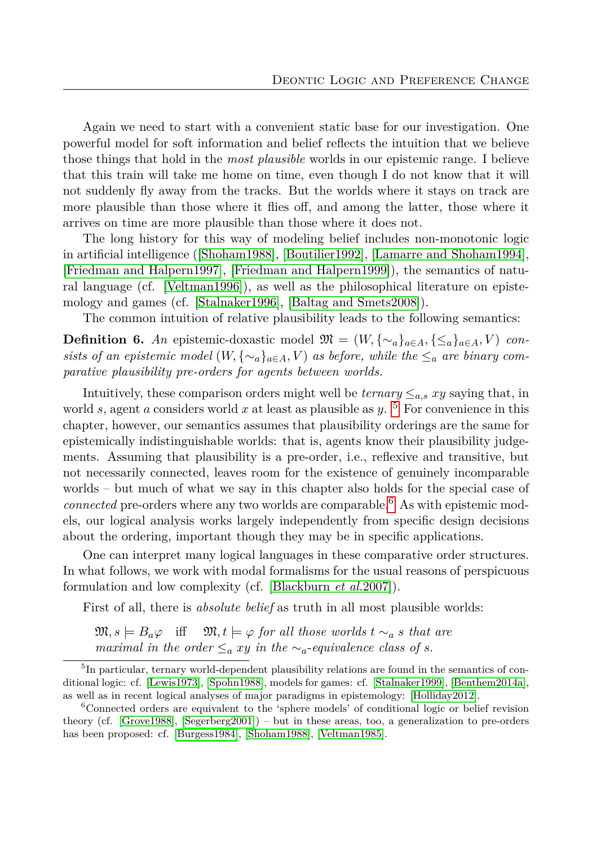Again we need to start with a convenient static base for our investigation. One powerful model for soft information and belief reflects the intuition that we believe those things that hold in the *most plausible* worlds in our epistemic range. I believe that this train will take me home on time, even though I do not know that it will not suddenly fly away from the tracks. But the worlds where it stays on track are more plausible than those where it flies off, and among the latter, those where it arrives on time are more plausible than those where it does not.

The long history for this way of modeling belief includes non-monotonic logic in artificial intelligence ([\[Shoham1988\]](#page-45-2), [\[Boutilier1992\]](#page-39-3), [\[Lamarre and Shoham1994\]](#page-42-1), [\[Friedman and Halpern1997\]](#page-40-2), [\[Friedman and Halpern1999\]](#page-40-3)), the semantics of natural language (cf. [\[Veltman1996\]](#page-45-3)), as well as the philosophical literature on epistemology and games (cf. [\[Stalnaker1996\]](#page-45-4), [\[Baltag and Smets2008\]](#page-38-3)).

The common intuition of relative plausibility leads to the following semantics:

**Definition 6.** An epistemic-doxastic model  $\mathfrak{M} = (W, {\{\sim_a\}}_{a \in A}, {\{\le_a\}}_{a \in A}, V)$  *consists of an epistemic model*  $(W, {\lbrace \sim_a \rbrace_{a \in A}, V})$  *as before, while the*  $\leq_a$  *are binary comparative plausibility pre-orders for agents between worlds.*

Intuitively, these comparison orders might well be  $ternary \leq_{a,s} xy$  saying that, in world *s*, agent *a* considers world *x* at least as plausible as  $y$ . <sup>[5](#page-0-0)</sup> For convenience in this chapter, however, our semantics assumes that plausibility orderings are the same for epistemically indistinguishable worlds: that is, agents know their plausibility judgements. Assuming that plausibility is a pre-order, i.e., reflexive and transitive, but not necessarily connected, leaves room for the existence of genuinely incomparable worlds – but much of what we say in this chapter also holds for the special case of *connected* pre-orders where any two worlds are comparable.<sup>[6](#page-0-0)</sup> As with epistemic models, our logical analysis works largely independently from specific design decisions about the ordering, important though they may be in specific applications.

One can interpret many logical languages in these comparative order structures. In what follows, we work with modal formalisms for the usual reasons of perspicuous formulation and low complexity (cf. [\[Blackburn](#page-39-4) *et al.*2007]).

First of all, there is *absolute belief* as truth in all most plausible worlds:

 $\mathfrak{M}, s \models B_a \varphi$  iff  $\mathfrak{M}, t \models \varphi$  *for all those worlds*  $t \sim_a s$  *that are maximal in the order*  $\leq_a$  *xy in the*  $\sim_a$ -*equivalence class of s.* 

<sup>&</sup>lt;sup>5</sup>In particular, ternary world-dependent plausibility relations are found in the semantics of conditional logic: cf. [\[Lewis1973\]](#page-43-1), [\[Spohn1988\]](#page-45-5), models for games: cf. [\[Stalnaker1999\]](#page-45-6), [\[Benthem2014a\]](#page-39-2), as well as in recent logical analyses of major paradigms in epistemology: [\[Holliday2012\]](#page-42-0).

<sup>&</sup>lt;sup>6</sup>Connected orders are equivalent to the 'sphere models' of conditional logic or belief revision theory (cf. [\[Grove1988\]](#page-41-0), [\[Segerberg2001\]](#page-44-1)) – but in these areas, too, a generalization to pre-orders has been proposed: cf. [\[Burgess1984\]](#page-39-5), [\[Shoham1988\]](#page-45-2), [\[Veltman1985\]](#page-45-7).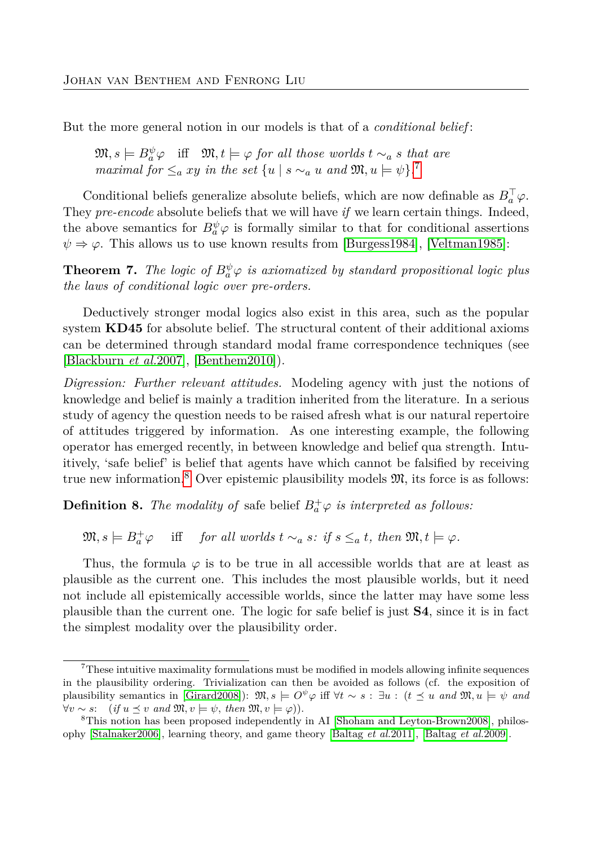But the more general notion in our models is that of a *conditional belief* :

 $\mathfrak{M}, s \models B_a^{\psi} \varphi \text{ iff } \mathfrak{M}, t \models \varphi \text{ for all those worlds } t \sim_a s \text{ that are }$ *maximal for*  $\leq_a$  *xy in the set*  $\{u \mid s \sim_a u \text{ and } \mathfrak{M}, u \models \psi\}.$ <sup>[7](#page-0-0)</sup>

Conditional beliefs generalize absolute beliefs, which are now definable as  $B_a^{\dagger} \varphi$ . They *pre-encode* absolute beliefs that we will have *if* we learn certain things. Indeed, the above semantics for  $B_a^{\psi} \varphi$  is formally similar to that for conditional assertions  $\psi \Rightarrow \varphi$ . This allows us to use known results from [\[Burgess1984\]](#page-39-5), [\[Veltman1985\]](#page-45-7):

**Theorem 7.** The logic of  $B^{\psi}_{a} \varphi$  is axiomatized by standard propositional logic plus *the laws of conditional logic over pre-orders.*

Deductively stronger modal logics also exist in this area, such as the popular system **KD45** for absolute belief. The structural content of their additional axioms can be determined through standard modal frame correspondence techniques (see [\[Blackburn](#page-39-4) *et al.*2007], [\[Benthem2010\]](#page-39-6)).

*Digression: Further relevant attitudes.* Modeling agency with just the notions of knowledge and belief is mainly a tradition inherited from the literature. In a serious study of agency the question needs to be raised afresh what is our natural repertoire of attitudes triggered by information. As one interesting example, the following operator has emerged recently, in between knowledge and belief qua strength. Intuitively, 'safe belief' is belief that agents have which cannot be falsified by receiving true new information.<sup>[8](#page-0-0)</sup> Over epistemic plausibility models  $\mathfrak{M}$ , its force is as follows:

**Definition 8.** *The modality of* safe belief  $B_a^+\varphi$  *is interpreted as follows:* 

 $\mathfrak{M}, s \models B_a^+ \varphi$  iff *for all worlds*  $t \sim_a s$ *: if*  $s \leq_a t$ *, then*  $\mathfrak{M}, t \models \varphi$ *.* 

Thus, the formula  $\varphi$  is to be true in all accessible worlds that are at least as plausible as the current one. This includes the most plausible worlds, but it need not include all epistemically accessible worlds, since the latter may have some less plausible than the current one. The logic for safe belief is just **S4**, since it is in fact the simplest modality over the plausibility order.

 $7$ These intuitive maximality formulations must be modified in models allowing infinite sequences in the plausibility ordering. Trivialization can then be avoided as follows (cf. the exposition of plausibility semantics in [\[Girard2008\]](#page-41-1)):  $\mathfrak{M}, s \models O^{\psi}\varphi$  iff  $\forall t \sim s : \exists u : (t \preceq u \text{ and } \mathfrak{M}, u \models \psi \text{ and }$  $\forall v \sim s:$  (*if*  $u \leq v$  *and*  $\mathfrak{M}, v \models \psi$ , *then*  $\mathfrak{M}, v \models \varphi)$ ).

<sup>8</sup>This notion has been proposed independently in AI [\[Shoham and Leyton-Brown2008\]](#page-45-8), philosophy [\[Stalnaker2006\]](#page-45-9), learning theory, and game theory [\[Baltag](#page-38-4) *et al.*2011], [\[Baltag](#page-38-5) *et al.*2009].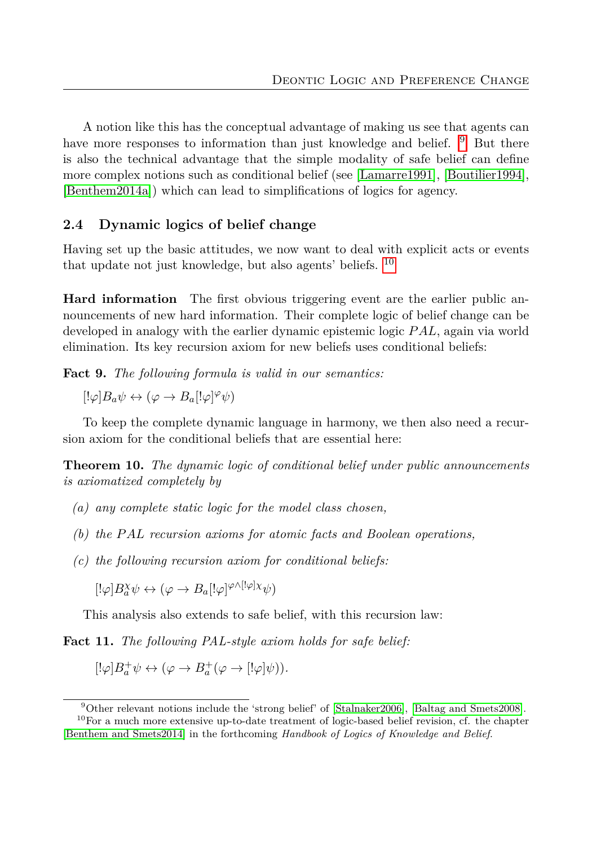A notion like this has the conceptual advantage of making us see that agents can have more responses to information than just knowledge and belief. <sup>[9](#page-0-0)</sup> But there is also the technical advantage that the simple modality of safe belief can define more complex notions such as conditional belief (see [\[Lamarre1991\]](#page-42-2), [\[Boutilier1994\]](#page-39-7), [\[Benthem2014a\]](#page-39-2)) which can lead to simplifications of logics for agency.

### **2.4 Dynamic logics of belief change**

Having set up the basic attitudes, we now want to deal with explicit acts or events that update not just knowledge, but also agents' beliefs. <sup>[10](#page-0-0)</sup>

**Hard information** The first obvious triggering event are the earlier public announcements of new hard information. Their complete logic of belief change can be developed in analogy with the earlier dynamic epistemic logic *P AL*, again via world elimination. Its key recursion axiom for new beliefs uses conditional beliefs:

**Fact 9.** *The following formula is valid in our semantics:*

 $[\psi]B_a\psi \leftrightarrow (\varphi \rightarrow B_a[\psi]\varphi \psi)$ 

To keep the complete dynamic language in harmony, we then also need a recursion axiom for the conditional beliefs that are essential here:

**Theorem 10.** *The dynamic logic of conditional belief under public announcements is axiomatized completely by*

- *(a) any complete static logic for the model class chosen,*
- *(b) the P AL recursion axioms for atomic facts and Boolean operations,*
- *(c) the following recursion axiom for conditional beliefs:*

 $[!\varphi]B^{\chi}_{a}\psi \leftrightarrow (\varphi \rightarrow B_{a} [!\varphi]^{\varphi \wedge [!\varphi] \chi} \psi)$ 

This analysis also extends to safe belief, with this recursion law:

**Fact 11.** *The following PAL-style axiom holds for safe belief:*

 $[!\varphi]B^+_a\psi \leftrightarrow (\varphi \rightarrow B^+_a(\varphi \rightarrow [!\varphi]\psi)).$ 

 $^{9}$ Other relevant notions include the 'strong belief' of [\[Stalnaker2006\]](#page-45-9), [\[Baltag and Smets2008\]](#page-38-3).

<sup>&</sup>lt;sup>10</sup>For a much more extensive up-to-date treatment of logic-based belief revision, cf. the chapter [\[Benthem and Smets2014\]](#page-38-6) in the forthcoming *Handbook of Logics of Knowledge and Belief*.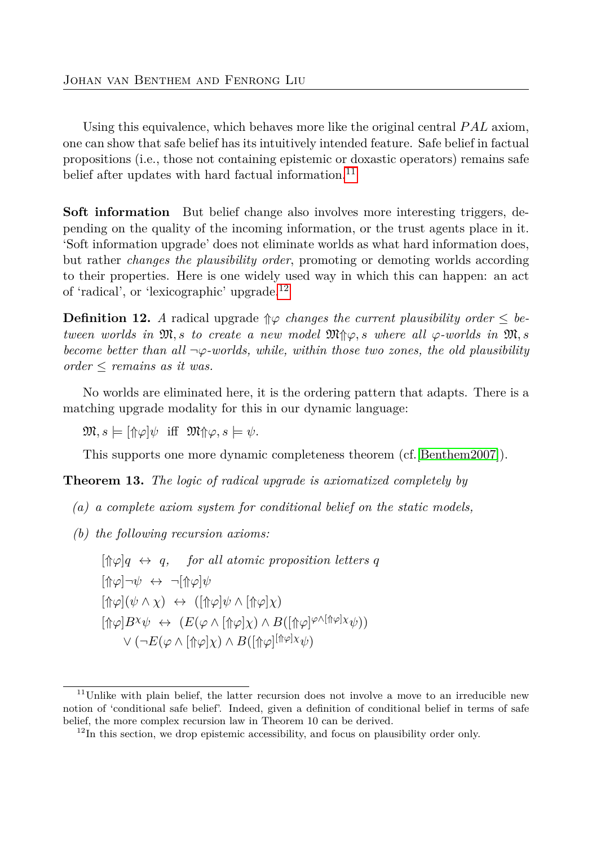Using this equivalence, which behaves more like the original central *P AL* axiom, one can show that safe belief has its intuitively intended feature. Safe belief in factual propositions (i.e., those not containing epistemic or doxastic operators) remains safe belief after updates with hard factual information.<sup>[11](#page-0-0)</sup>

**Soft information** But belief change also involves more interesting triggers, depending on the quality of the incoming information, or the trust agents place in it. 'Soft information upgrade' does not eliminate worlds as what hard information does, but rather *changes the plausibility order*, promoting or demoting worlds according to their properties. Here is one widely used way in which this can happen: an act of 'radical', or 'lexicographic' upgrade.[12](#page-0-0)

**Definition 12.** *A* radical upgrade  $\Uparrow \varphi$  *changes the current plausibility order*  $\leq$  *between worlds in* M*, s to create a new model* M⇑*ϕ, s where all ϕ-worlds in* M*, s become better than all* ¬*ϕ-worlds, while, within those two zones, the old plausibility order* ≤ *remains as it was.*

No worlds are eliminated here, it is the ordering pattern that adapts. There is a matching upgrade modality for this in our dynamic language:

 $\mathfrak{M}, s \models [\Uparrow \varphi] \psi \text{ iff } \mathfrak{M} \Uparrow \varphi, s \models \psi.$ 

This supports one more dynamic completeness theorem (cf.[\[Benthem2007\]](#page-39-8)).

**Theorem 13.** *The logic of radical upgrade is axiomatized completely by*

- *(a) a complete axiom system for conditional belief on the static models,*
- *(b) the following recursion axioms:*

 $[$ <sup> $\uparrow$ </sup> $\updownarrow$  $\downarrow$  $q$ , *for all atomic proposition letters q* [⇑*ϕ*]¬*ψ* ↔ ¬[⇑*ϕ*]*ψ*  $[$ <u>↑</u> $\varphi$  $](\psi \wedge \chi) \leftrightarrow ([$  $\Uparrow \varphi$  $]\psi \wedge [\Uparrow \varphi] \chi)$  $[{\Uparrow}\varphi]B^{\chi}\psi \leftrightarrow (E(\varphi\wedge[{\Uparrow}\varphi]\chi)\wedge B([{\Uparrow}\varphi]^{\varphi\wedge[{\Uparrow}\varphi]\chi}\psi))$ ∨ (¬*E*(*ϕ* ∧ [⇑*ϕ*]*χ*) ∧ *B*([⇑*ϕ*] [⇑*ϕ*]*χψ*)

 $11$ Unlike with plain belief, the latter recursion does not involve a move to an irreducible new notion of 'conditional safe belief'. Indeed, given a definition of conditional belief in terms of safe belief, the more complex recursion law in Theorem 10 can be derived.

 $12$ In this section, we drop epistemic accessibility, and focus on plausibility order only.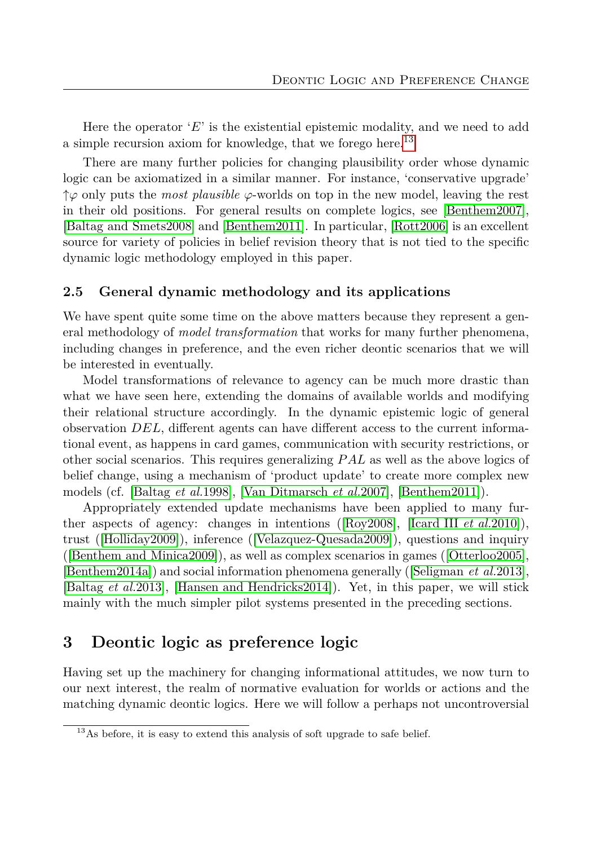Here the operator '*E*' is the existential epistemic modality, and we need to add a simple recursion axiom for knowledge, that we forego here.<sup>[13](#page-0-0)</sup>

There are many further policies for changing plausibility order whose dynamic logic can be axiomatized in a similar manner. For instance, 'conservative upgrade' ↑*ϕ* only puts the *most plausible ϕ*-worlds on top in the new model, leaving the rest in their old positions. For general results on complete logics, see [\[Benthem2007\]](#page-39-8), [\[Baltag and Smets2008\]](#page-38-3) and [\[Benthem2011\]](#page-39-9). In particular, [\[Rott2006\]](#page-44-2) is an excellent source for variety of policies in belief revision theory that is not tied to the specific dynamic logic methodology employed in this paper.

### **2.5 General dynamic methodology and its applications**

We have spent quite some time on the above matters because they represent a general methodology of *model transformation* that works for many further phenomena, including changes in preference, and the even richer deontic scenarios that we will be interested in eventually.

Model transformations of relevance to agency can be much more drastic than what we have seen here, extending the domains of available worlds and modifying their relational structure accordingly. In the dynamic epistemic logic of general observation *DEL*, different agents can have different access to the current informational event, as happens in card games, communication with security restrictions, or other social scenarios. This requires generalizing *P AL* as well as the above logics of belief change, using a mechanism of 'product update' to create more complex new models (cf. [\[Baltag](#page-38-7) *et al.*1998], [\[Van Ditmarsch](#page-45-10) *et al.*2007], [\[Benthem2011\]](#page-39-9)).

Appropriately extended update mechanisms have been applied to many further aspects of agency: changes in intentions ([\[Roy2008\]](#page-44-3), [\[Icard III](#page-42-3) *et al.*2010]), trust ([\[Holliday2009\]](#page-42-4)), inference ([\[Velazquez-Quesada2009\]](#page-45-11)), questions and inquiry ([\[Benthem and Minica2009\]](#page-38-8)), as well as complex scenarios in games ([\[Otterloo2005\]](#page-43-2), [\[Benthem2014a\]](#page-39-2)) and social information phenomena generally ([\[Seligman](#page-44-4) *et al.*2013], [\[Baltag](#page-38-9) *et al.*2013], [\[Hansen and Hendricks2014\]](#page-41-2)). Yet, in this paper, we will stick mainly with the much simpler pilot systems presented in the preceding sections.

## **3 Deontic logic as preference logic**

Having set up the machinery for changing informational attitudes, we now turn to our next interest, the realm of normative evaluation for worlds or actions and the matching dynamic deontic logics. Here we will follow a perhaps not uncontroversial

<sup>&</sup>lt;sup>13</sup>As before, it is easy to extend this analysis of soft upgrade to safe belief.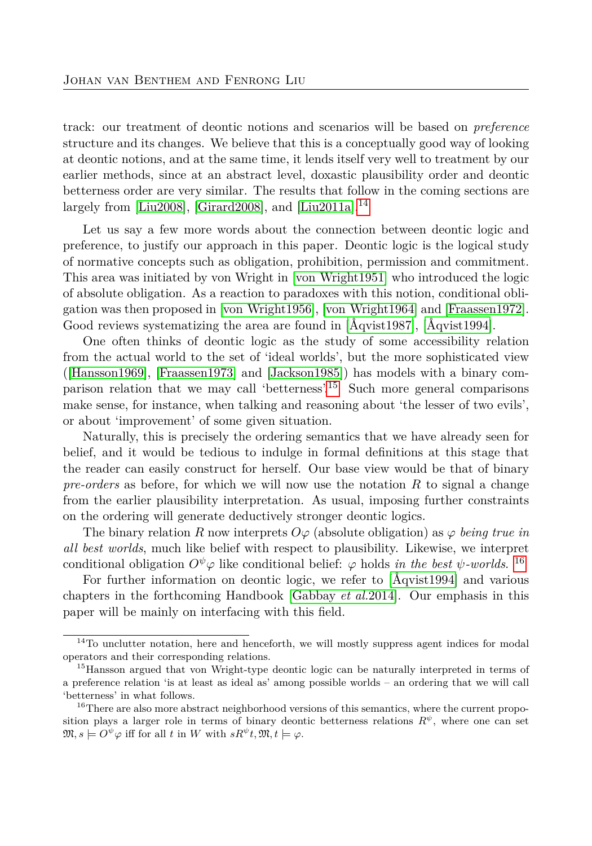track: our treatment of deontic notions and scenarios will be based on *preference* structure and its changes. We believe that this is a conceptually good way of looking at deontic notions, and at the same time, it lends itself very well to treatment by our earlier methods, since at an abstract level, doxastic plausibility order and deontic betterness order are very similar. The results that follow in the coming sections are largely from [\[Liu2008\]](#page-43-3), [\[Girard2008\]](#page-41-1), and [\[Liu2011a\]](#page-43-4).<sup>[14](#page-0-0)</sup>

Let us say a few more words about the connection between deontic logic and preference, to justify our approach in this paper. Deontic logic is the logical study of normative concepts such as obligation, prohibition, permission and commitment. This area was initiated by von Wright in [\[von Wright1951\]](#page-45-12) who introduced the logic of absolute obligation. As a reaction to paradoxes with this notion, conditional obligation was then proposed in [\[von Wright1956\]](#page-45-13), [\[von Wright1964\]](#page-46-0) and [\[Fraassen1972\]](#page-40-4). Good reviews systematizing the area are found in [\[Åqvist1987\]](#page-37-0), [\[Åqvist1994\]](#page-37-1).

One often thinks of deontic logic as the study of some accessibility relation from the actual world to the set of 'ideal worlds', but the more sophisticated view ([\[Hansson1969\]](#page-41-3), [\[Fraassen1973\]](#page-40-5) and [\[Jackson1985\]](#page-42-5)) has models with a binary comparison relation that we may call 'betterness'.[15](#page-0-0) Such more general comparisons make sense, for instance, when talking and reasoning about 'the lesser of two evils', or about 'improvement' of some given situation.

Naturally, this is precisely the ordering semantics that we have already seen for belief, and it would be tedious to indulge in formal definitions at this stage that the reader can easily construct for herself. Our base view would be that of binary *pre-orders* as before, for which we will now use the notation *R* to signal a change from the earlier plausibility interpretation. As usual, imposing further constraints on the ordering will generate deductively stronger deontic logics.

The binary relation *R* now interprets  $O\varphi$  (absolute obligation) as  $\varphi$  *being true in all best worlds*, much like belief with respect to plausibility. Likewise, we interpret conditional obligation  $O^{\psi}\varphi$  like conditional belief:  $\varphi$  holds *in the best*  $\psi$ *-worlds*. <sup>[16](#page-0-0)</sup>

For further information on deontic logic, we refer to [\[Åqvist1994\]](#page-37-1) and various chapters in the forthcoming Handbook [\[Gabbay](#page-40-6) *et al.*2014]. Our emphasis in this paper will be mainly on interfacing with this field.

 $14$ To unclutter notation, here and henceforth, we will mostly suppress agent indices for modal operators and their corresponding relations.

<sup>&</sup>lt;sup>15</sup>Hansson argued that von Wright-type deontic logic can be naturally interpreted in terms of a preference relation 'is at least as ideal as' among possible worlds – an ordering that we will call 'betterness' in what follows.

<sup>&</sup>lt;sup>16</sup>There are also more abstract neighborhood versions of this semantics, where the current proposition plays a larger role in terms of binary deontic betterness relations  $R^{\psi}$ , where one can set  $\mathfrak{M}, s \models O^{\psi} \varphi$  iff for all *t* in *W* with  $sR^{\psi}t, \mathfrak{M}, t \models \varphi$ .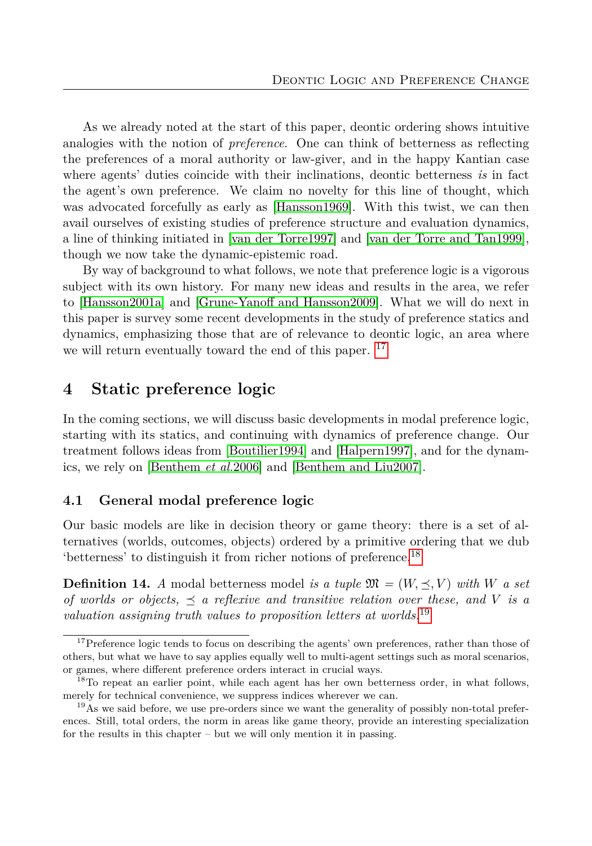As we already noted at the start of this paper, deontic ordering shows intuitive analogies with the notion of *preference*. One can think of betterness as reflecting the preferences of a moral authority or law-giver, and in the happy Kantian case where agents' duties coincide with their inclinations, deontic betterness *is* in fact the agent's own preference. We claim no novelty for this line of thought, which was advocated forcefully as early as [\[Hansson1969\]](#page-41-3). With this twist, we can then avail ourselves of existing studies of preference structure and evaluation dynamics, a line of thinking initiated in [\[van der Torre1997\]](#page-45-14) and [\[van der Torre and Tan1999\]](#page-45-15), though we now take the dynamic-epistemic road.

By way of background to what follows, we note that preference logic is a vigorous subject with its own history. For many new ideas and results in the area, we refer to [\[Hansson2001a\]](#page-42-6) and [\[Grune-Yanoff and Hansson2009\]](#page-41-4). What we will do next in this paper is survey some recent developments in the study of preference statics and dynamics, emphasizing those that are of relevance to deontic logic, an area where we will return eventually toward the end of this paper. <sup>[17](#page-0-0)</sup>

## **4 Static preference logic**

In the coming sections, we will discuss basic developments in modal preference logic, starting with its statics, and continuing with dynamics of preference change. Our treatment follows ideas from [\[Boutilier1994\]](#page-39-7) and [\[Halpern1997\]](#page-41-5), and for the dynamics, we rely on [\[Benthem](#page-38-10) *et al.*2006] and [\[Benthem and Liu2007\]](#page-38-2).

### **4.1 General modal preference logic**

Our basic models are like in decision theory or game theory: there is a set of alternatives (worlds, outcomes, objects) ordered by a primitive ordering that we dub 'betterness' to distinguish it from richer notions of preference.[18](#page-0-0)

**Definition 14.** *A* modal betterness model *is a tuple*  $\mathfrak{M} = (W, \prec, V)$  *with W a set of worlds or objects,*  $\leq a$  *reflexive and transitive relation over these, and V is a valuation assigning truth values to proposition letters at worlds.*[19](#page-0-0)

<sup>&</sup>lt;sup>17</sup>Preference logic tends to focus on describing the agents' own preferences, rather than those of others, but what we have to say applies equally well to multi-agent settings such as moral scenarios, or games, where different preference orders interact in crucial ways.

<sup>&</sup>lt;sup>18</sup>To repeat an earlier point, while each agent has her own betterness order, in what follows, merely for technical convenience, we suppress indices wherever we can.

<sup>&</sup>lt;sup>19</sup>As we said before, we use pre-orders since we want the generality of possibly non-total preferences. Still, total orders, the norm in areas like game theory, provide an interesting specialization for the results in this chapter – but we will only mention it in passing.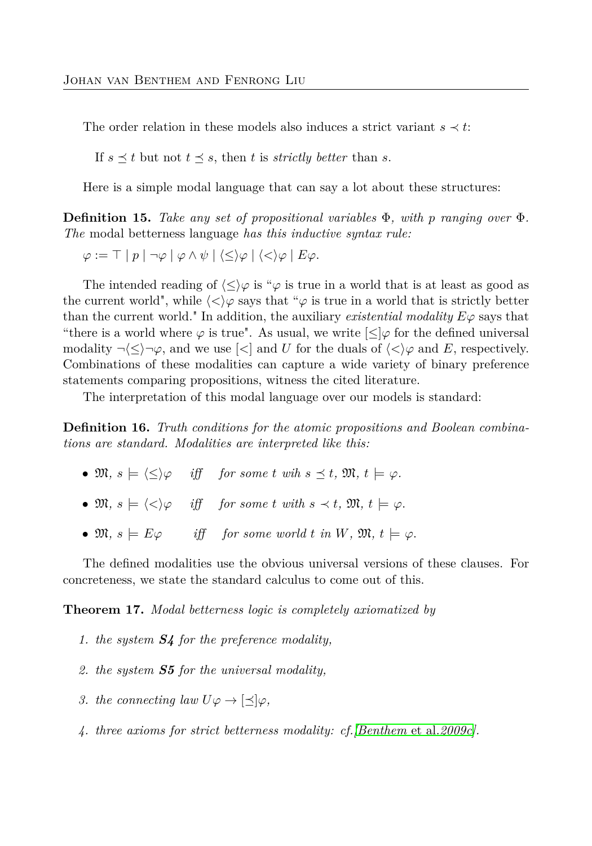The order relation in these models also induces a strict variant  $s \prec t$ :

If  $s \preceq t$  but not  $t \preceq s$ , then *t* is *strictly better* than *s*.

Here is a simple modal language that can say a lot about these structures:

**Definition 15.** *Take any set of propositional variables* Φ*, with p ranging over* Φ*. The* modal betterness language *has this inductive syntax rule:*

 $\varphi := \top | p | \neg \varphi | \varphi \wedge \psi | \langle \leq \rangle \varphi | \langle \lt, \rangle \varphi | E \varphi.$ 

The intended reading of  $\langle \leq \rangle \varphi$  is " $\varphi$  is true in a world that is at least as good as the current world", while  $\langle \langle \rangle \varphi$  says that " $\varphi$  is true in a world that is strictly better than the current world." In addition, the auxiliary *existential modality*  $E\varphi$  says that "there is a world where  $\varphi$  is true". As usual, we write  $\leq$   $\varphi$  for the defined universal modality  $\neg \langle \leq \rangle \neg \varphi$ , and we use  $\lvert \leq \rvert$  and *U* for the duals of  $\langle \leq \rangle \varphi$  and *E*, respectively. Combinations of these modalities can capture a wide variety of binary preference statements comparing propositions, witness the cited literature.

The interpretation of this modal language over our models is standard:

**Definition 16.** *Truth conditions for the atomic propositions and Boolean combinations are standard. Modalities are interpreted like this:*

- $\mathfrak{M}, s \models \langle \leq \rangle \varphi$  *iff for some t wih*  $s \preceq t, \mathfrak{M}, t \models \varphi$ .
- $\mathfrak{M}, s \models \langle \langle \rangle \varphi \quad \text{iff} \quad \text{for some } t \text{ with } s \prec t, \mathfrak{M}, t \models \varphi.$
- $\mathfrak{M}, s \models E\varphi$  *iff for some world t in W*,  $\mathfrak{M}, t \models \varphi$ .

The defined modalities use the obvious universal versions of these clauses. For concreteness, we state the standard calculus to come out of this.

**Theorem 17.** *Modal betterness logic is completely axiomatized by*

- *1. the system S4 for the preference modality,*
- *2. the system S5 for the universal modality,*
- *3. the connecting law*  $U\varphi \rightarrow [\preceq]\varphi$ ,
- *4. three axioms for strict betterness modality: cf.[\[Benthem](#page-38-11)* et al.*2009c].*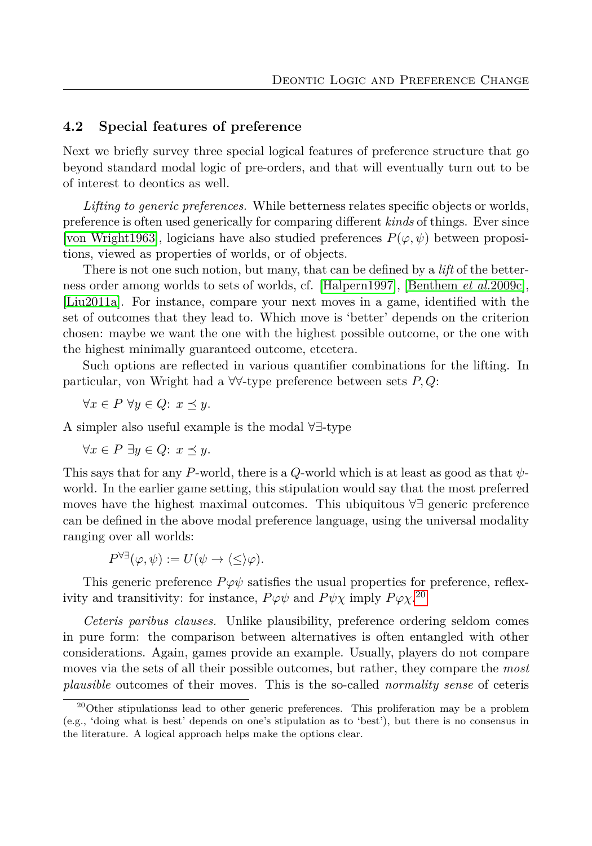#### **4.2 Special features of preference**

Next we briefly survey three special logical features of preference structure that go beyond standard modal logic of pre-orders, and that will eventually turn out to be of interest to deontics as well.

*Lifting to generic preferences.* While betterness relates specific objects or worlds, preference is often used generically for comparing different *kinds* of things. Ever since [\[von Wright1963\]](#page-46-1), logicians have also studied preferences  $P(\varphi, \psi)$  between propositions, viewed as properties of worlds, or of objects.

There is not one such notion, but many, that can be defined by a *lift* of the betterness order among worlds to sets of worlds, cf. [\[Halpern1997\]](#page-41-5), [\[Benthem](#page-38-11) *et al.*2009c], [\[Liu2011a\]](#page-43-4). For instance, compare your next moves in a game, identified with the set of outcomes that they lead to. Which move is 'better' depends on the criterion chosen: maybe we want the one with the highest possible outcome, or the one with the highest minimally guaranteed outcome, etcetera.

Such options are reflected in various quantifier combinations for the lifting. In particular, von Wright had a ∀∀-type preference between sets *P, Q*:

 $∀x ∈ P ∀y ∈ Q: x → y.$ 

A simpler also useful example is the modal ∀∃-type

 $∀x ∈ P ∃y ∈ Q: x → y.$ 

This says that for any *P*-world, there is a *Q*-world which is at least as good as that *ψ*world. In the earlier game setting, this stipulation would say that the most preferred moves have the highest maximal outcomes. This ubiquitous ∀∃ generic preference can be defined in the above modal preference language, using the universal modality ranging over all worlds:

$$
P^{\forall\exists}(\varphi,\psi) := U(\psi \to \langle \leq \rangle \varphi).
$$

This generic preference  $P\varphi\psi$  satisfies the usual properties for preference, reflexivity and transitivity: for instance,  $P \varphi \psi$  and  $P \psi \chi$  imply  $P \varphi \chi$ .<sup>[20](#page-0-0)</sup>

*Ceteris paribus clauses.* Unlike plausibility, preference ordering seldom comes in pure form: the comparison between alternatives is often entangled with other considerations. Again, games provide an example. Usually, players do not compare moves via the sets of all their possible outcomes, but rather, they compare the *most plausible* outcomes of their moves. This is the so-called *normality sense* of ceteris

<sup>&</sup>lt;sup>20</sup>Other stipulationss lead to other generic preferences. This proliferation may be a problem (e.g., 'doing what is best' depends on one's stipulation as to 'best'), but there is no consensus in the literature. A logical approach helps make the options clear.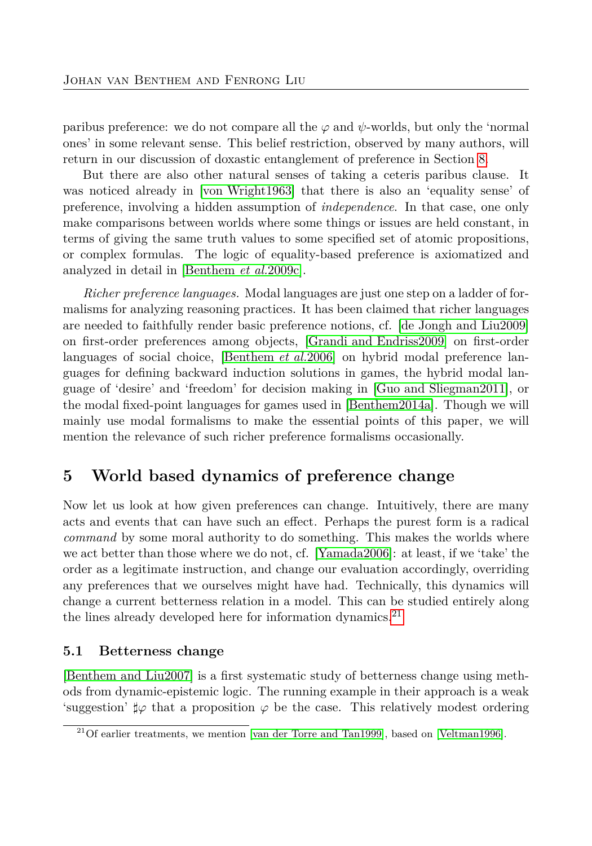paribus preference: we do not compare all the  $\varphi$  and  $\psi$ -worlds, but only the 'normal ones' in some relevant sense. This belief restriction, observed by many authors, will return in our discussion of doxastic entanglement of preference in Section [8.](#page-23-0)

But there are also other natural senses of taking a ceteris paribus clause. It was noticed already in [\[von Wright1963\]](#page-46-1) that there is also an 'equality sense' of preference, involving a hidden assumption of *independence*. In that case, one only make comparisons between worlds where some things or issues are held constant, in terms of giving the same truth values to some specified set of atomic propositions, or complex formulas. The logic of equality-based preference is axiomatized and analyzed in detail in [\[Benthem](#page-38-11) *et al.*2009c].

*Richer preference languages.* Modal languages are just one step on a ladder of formalisms for analyzing reasoning practices. It has been claimed that richer languages are needed to faithfully render basic preference notions, cf. [\[de Jongh and Liu2009\]](#page-40-7) on first-order preferences among objects, [\[Grandi and Endriss2009\]](#page-41-6) on first-order languages of social choice, [\[Benthem](#page-38-10) *et al.*2006] on hybrid modal preference languages for defining backward induction solutions in games, the hybrid modal language of 'desire' and 'freedom' for decision making in [\[Guo and Sliegman2011\]](#page-41-7), or the modal fixed-point languages for games used in [\[Benthem2014a\]](#page-39-2). Though we will mainly use modal formalisms to make the essential points of this paper, we will mention the relevance of such richer preference formalisms occasionally.

# **5 World based dynamics of preference change**

Now let us look at how given preferences can change. Intuitively, there are many acts and events that can have such an effect. Perhaps the purest form is a radical *command* by some moral authority to do something. This makes the worlds where we act better than those where we do not, cf. [\[Yamada2006\]](#page-46-2): at least, if we 'take' the order as a legitimate instruction, and change our evaluation accordingly, overriding any preferences that we ourselves might have had. Technically, this dynamics will change a current betterness relation in a model. This can be studied entirely along the lines already developed here for information dynamics.<sup>[21](#page-0-0)</sup>

### **5.1 Betterness change**

[\[Benthem and Liu2007\]](#page-38-2) is a first systematic study of betterness change using methods from dynamic-epistemic logic. The running example in their approach is a weak 'suggestion'  $\sharp\varphi$  that a proposition  $\varphi$  be the case. This relatively modest ordering

 $21$ Of earlier treatments, we mention [\[van der Torre and Tan1999\]](#page-45-15), based on [\[Veltman1996\]](#page-45-3).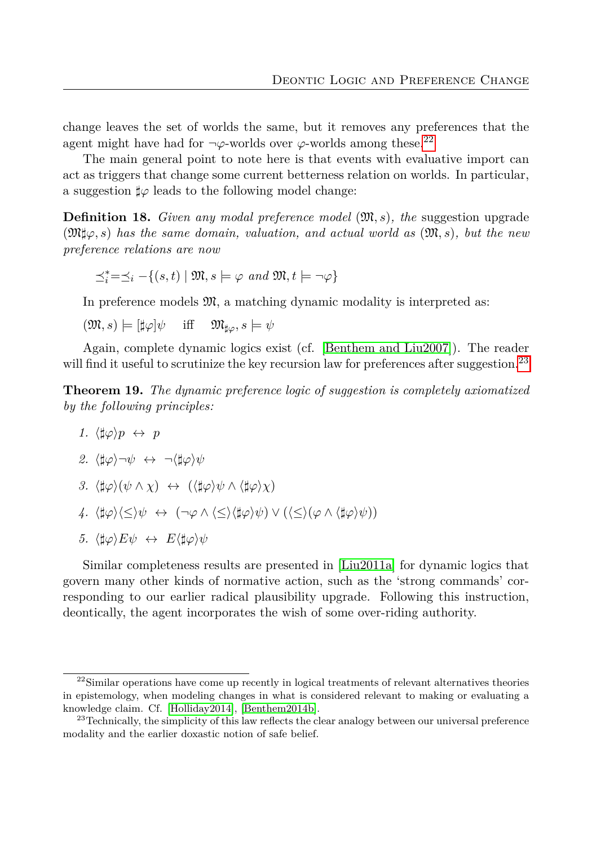change leaves the set of worlds the same, but it removes any preferences that the agent might have had for  $\neg \varphi$ -worlds over  $\varphi$ -worlds among these.<sup>[22](#page-0-0)</sup>

The main general point to note here is that events with evaluative import can act as triggers that change some current betterness relation on worlds. In particular, a suggestion *]ϕ* leads to the following model change:

**Definition 18.** *Given any modal preference model* (M*, s*)*, the* suggestion upgrade (M*]ϕ, s*) *has the same domain, valuation, and actual world as* (M*, s*)*, but the new preference relations are now*

$$
\preceq^*_i=\preceq_i - \{(s,t) \mid \mathfrak{M}, s \models \varphi \text{ and } \mathfrak{M}, t \models \neg \varphi\}
$$

In preference models  $\mathfrak{M}$ , a matching dynamic modality is interpreted as:

$$
(\mathfrak{M},s)\models [\sharp \varphi]\psi \quad \text{iff} \quad \mathfrak{M}_{\sharp \varphi}, s\models \psi
$$

Again, complete dynamic logics exist (cf. [\[Benthem and Liu2007\]](#page-38-2)). The reader will find it useful to scrutinize the key recursion law for preferences after suggestion.<sup>[23](#page-0-0)</sup>

**Theorem 19.** *The dynamic preference logic of suggestion is completely axiomatized by the following principles:*

*1.*  $\langle \sharp \varphi \rangle p \leftrightarrow p$ 

2. 
$$
\langle \sharp \varphi \rangle \neg \psi \leftrightarrow \neg \langle \sharp \varphi \rangle \psi
$$

- $3. \langle \sharp \varphi \rangle (\psi \wedge \chi) \leftrightarrow (\langle \sharp \varphi \rangle \psi \wedge \langle \sharp \varphi \rangle \chi)$
- *4.*  $\langle \sharp \varphi \rangle \langle \leq \rangle \psi \leftrightarrow (\neg \varphi \land \langle \leq \rangle \langle \sharp \varphi \rangle \psi) \lor (\langle \leq \rangle (\varphi \land \langle \sharp \varphi \rangle \psi))$
- *5.*  $\langle \sharp \varphi \rangle E\psi \leftrightarrow E \langle \sharp \varphi \rangle \psi$

Similar completeness results are presented in [\[Liu2011a\]](#page-43-4) for dynamic logics that govern many other kinds of normative action, such as the 'strong commands' corresponding to our earlier radical plausibility upgrade. Following this instruction, deontically, the agent incorporates the wish of some over-riding authority.

 $22$ Similar operations have come up recently in logical treatments of relevant alternatives theories in epistemology, when modeling changes in what is considered relevant to making or evaluating a knowledge claim. Cf. [\[Holliday2014\]](#page-42-7), [\[Benthem2014b\]](#page-39-10).

<sup>&</sup>lt;sup>23</sup>Technically, the simplicity of this law reflects the clear analogy between our universal preference modality and the earlier doxastic notion of safe belief.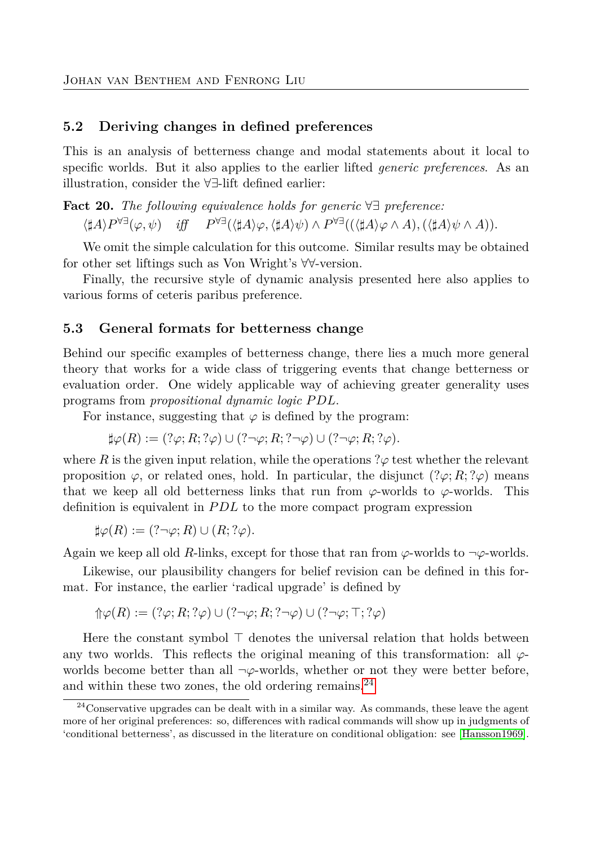### **5.2 Deriving changes in defined preferences**

This is an analysis of betterness change and modal statements about it local to specific worlds. But it also applies to the earlier lifted *generic preferences*. As an illustration, consider the ∀∃-lift defined earlier:

**Fact 20.** *The following equivalence holds for generic* ∀∃ *preference:*

 $\langle \sharp A \rangle P^{\forall \exists}(\varphi, \psi)$  *iff*  $P^{\forall \exists}(\langle \sharp A \rangle \varphi, \langle \sharp A \rangle \psi) \wedge P^{\forall \exists}((\langle \sharp A \rangle \varphi \wedge A), (\langle \sharp A \rangle \psi \wedge A)).$ 

We omit the simple calculation for this outcome. Similar results may be obtained for other set liftings such as Von Wright's ∀∀-version.

Finally, the recursive style of dynamic analysis presented here also applies to various forms of ceteris paribus preference.

#### <span id="page-17-0"></span>**5.3 General formats for betterness change**

Behind our specific examples of betterness change, there lies a much more general theory that works for a wide class of triggering events that change betterness or evaluation order. One widely applicable way of achieving greater generality uses programs from *propositional dynamic logic P DL*.

For instance, suggesting that  $\varphi$  is defined by the program:

$$
\sharp \varphi(R) := (\mathop{?}\nolimits \varphi; R; \mathop{?}\nolimits \varphi) \cup (\mathop{?}\nolimits \neg \varphi; R; \mathop{?}\nolimits \neg \varphi) \cup (\mathop{?}\nolimits \neg \varphi; R; \mathop{?}\nolimits \varphi).
$$

where R is the given input relation, while the operations  $\gamma\varphi$  test whether the relevant proposition  $\varphi$ , or related ones, hold. In particular, the disjunct  $(\varphi, R; \varphi)$  means that we keep all old betterness links that run from  $\varphi$ -worlds to  $\varphi$ -worlds. This definition is equivalent in *P DL* to the more compact program expression

 $\sharp \varphi(R) := (?\neg \varphi; R) \cup (R; ?\varphi).$ 

Again we keep all old *R*-links, except for those that ran from  $\varphi$ -worlds to  $\neg \varphi$ -worlds.

Likewise, our plausibility changers for belief revision can be defined in this format. For instance, the earlier 'radical upgrade' is defined by

$$
\Uparrow \varphi(R) := (\mathop{?}\nolimits \varphi; R; \mathop{?}\nolimits \varphi) \cup (\mathop{?}\nolimits \neg \varphi; R; \mathop{?}\nolimits \neg \varphi) \cup (\mathop{?}\nolimits \neg \varphi; \top; \mathop{?}\nolimits \varphi)
$$

Here the constant symbol  $\top$  denotes the universal relation that holds between any two worlds. This reflects the original meaning of this transformation: all *ϕ*worlds become better than all ¬*ϕ*-worlds, whether or not they were better before, and within these two zones, the old ordering remains.  $24$ 

 $24$ Conservative upgrades can be dealt with in a similar way. As commands, these leave the agent more of her original preferences: so, differences with radical commands will show up in judgments of 'conditional betterness', as discussed in the literature on conditional obligation: see [\[Hansson1969\]](#page-41-3).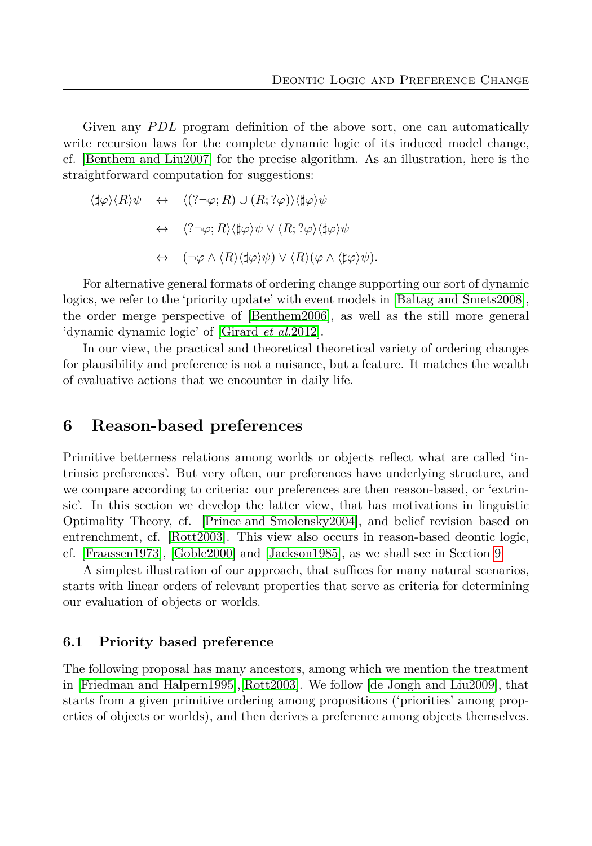Given any *PDL* program definition of the above sort, one can automatically write recursion laws for the complete dynamic logic of its induced model change, cf. [\[Benthem and Liu2007\]](#page-38-2) for the precise algorithm. As an illustration, here is the straightforward computation for suggestions:

$$
\langle \sharp \varphi \rangle \langle R \rangle \psi \leftrightarrow \langle (?\neg \varphi; R) \cup (R; ?\varphi) \rangle \langle \sharp \varphi \rangle \psi
$$
  

$$
\leftrightarrow \langle ?\neg \varphi; R \rangle \langle \sharp \varphi \rangle \psi \vee \langle R; ?\varphi \rangle \langle \sharp \varphi \rangle \psi
$$
  

$$
\leftrightarrow (\neg \varphi \wedge \langle R \rangle \langle \sharp \varphi \rangle \psi) \vee \langle R \rangle (\varphi \wedge \langle \sharp \varphi \rangle \psi).
$$

For alternative general formats of ordering change supporting our sort of dynamic logics, we refer to the 'priority update' with event models in [\[Baltag and Smets2008\]](#page-38-3), the order merge perspective of [\[Benthem2006\]](#page-39-11), as well as the still more general 'dynamic dynamic logic' of [\[Girard](#page-40-8) *et al.*2012].

In our view, the practical and theoretical theoretical variety of ordering changes for plausibility and preference is not a nuisance, but a feature. It matches the wealth of evaluative actions that we encounter in daily life.

### **6 Reason-based preferences**

Primitive betterness relations among worlds or objects reflect what are called 'intrinsic preferences'. But very often, our preferences have underlying structure, and we compare according to criteria: our preferences are then reason-based, or 'extrinsic'. In this section we develop the latter view, that has motivations in linguistic Optimality Theory, cf. [\[Prince and Smolensky2004\]](#page-44-5), and belief revision based on entrenchment, cf. [\[Rott2003\]](#page-44-6). This view also occurs in reason-based deontic logic, cf. [\[Fraassen1973\]](#page-40-5), [\[Goble2000\]](#page-41-8) and [\[Jackson1985\]](#page-42-5), as we shall see in Section [9.](#page-27-0)

A simplest illustration of our approach, that suffices for many natural scenarios, starts with linear orders of relevant properties that serve as criteria for determining our evaluation of objects or worlds.

### <span id="page-18-0"></span>**6.1 Priority based preference**

The following proposal has many ancestors, among which we mention the treatment in [\[Friedman and Halpern1995\]](#page-40-9),[\[Rott2003\]](#page-44-6). We follow [\[de Jongh and Liu2009\]](#page-40-7), that starts from a given primitive ordering among propositions ('priorities' among properties of objects or worlds), and then derives a preference among objects themselves.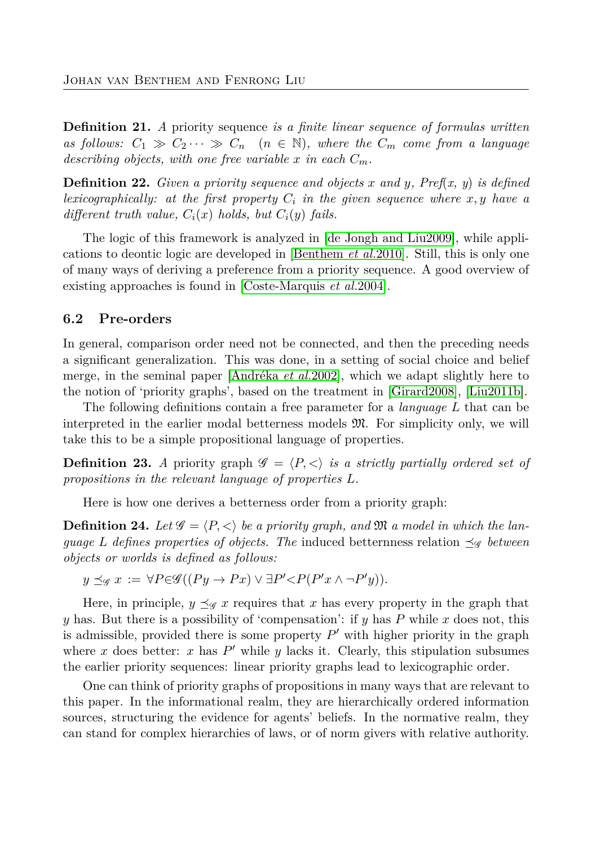**Definition 21.** *A* priority sequence *is a finite linear sequence of formulas written as follows:*  $C_1 \gg C_2 \cdots \gg C_n \quad (n \in \mathbb{N})$ , where the  $C_m$  come from a language *describing objects, with one free variable x in each*  $C_m$ .

**Definition 22.** *Given a priority sequence and objects x and y, Pref*(*x, y*) *is defined lexicographically: at the first property*  $C_i$  *in the given sequence where*  $x, y$  *have* a *different truth value,*  $C_i(x)$  *holds, but*  $C_i(y)$  *fails.* 

The logic of this framework is analyzed in [\[de Jongh and Liu2009\]](#page-40-7), while applications to deontic logic are developed in [\[Benthem](#page-39-12) *et al.*2010]. Still, this is only one of many ways of deriving a preference from a priority sequence. A good overview of existing approaches is found in [\[Coste-Marquis](#page-39-13) *et al.*2004].

### **6.2 Pre-orders**

In general, comparison order need not be connected, and then the preceding needs a significant generalization. This was done, in a setting of social choice and belief merge, in the seminal paper [\[Andréka](#page-37-2) *et al.*2002], which we adapt slightly here to the notion of 'priority graphs', based on the treatment in [\[Girard2008\]](#page-41-1), [\[Liu2011b\]](#page-43-5).

The following definitions contain a free parameter for a *language L* that can be interpreted in the earlier modal betterness models M. For simplicity only, we will take this to be a simple propositional language of properties.

**Definition 23.** *A* priority graph  $\mathscr{G} = \langle P, \langle \rangle$  *is a strictly partially ordered set of propositions in the relevant language of properties L.*

Here is how one derives a betterness order from a priority graph:

**Definition 24.** Let  $\mathscr{G} = \langle P, \lt \rangle$  be a priority graph, and  $\mathfrak{M}$  a model in which the lan*guage L defines properties of objects. The* induced betternness relation  $\preceq_{\mathscr{G}}$  *between objects or worlds is defined as follows:*

$$
y \preceq_{\mathscr{G}} x := \forall P \in \mathscr{G}((Py \to Px) \lor \exists P' < P(P'x \land \neg P'y)).
$$

Here, in principle,  $y \preceq_{\mathscr{G}} x$  requires that x has every property in the graph that *y* has. But there is a possibility of 'compensation': if *y* has *P* while *x* does not, this is admissible, provided there is some property  $P'$  with higher priority in the graph where *x* does better: *x* has  $P'$  while *y* lacks it. Clearly, this stipulation subsumes the earlier priority sequences: linear priority graphs lead to lexicographic order.

One can think of priority graphs of propositions in many ways that are relevant to this paper. In the informational realm, they are hierarchically ordered information sources, structuring the evidence for agents' beliefs. In the normative realm, they can stand for complex hierarchies of laws, or of norm givers with relative authority.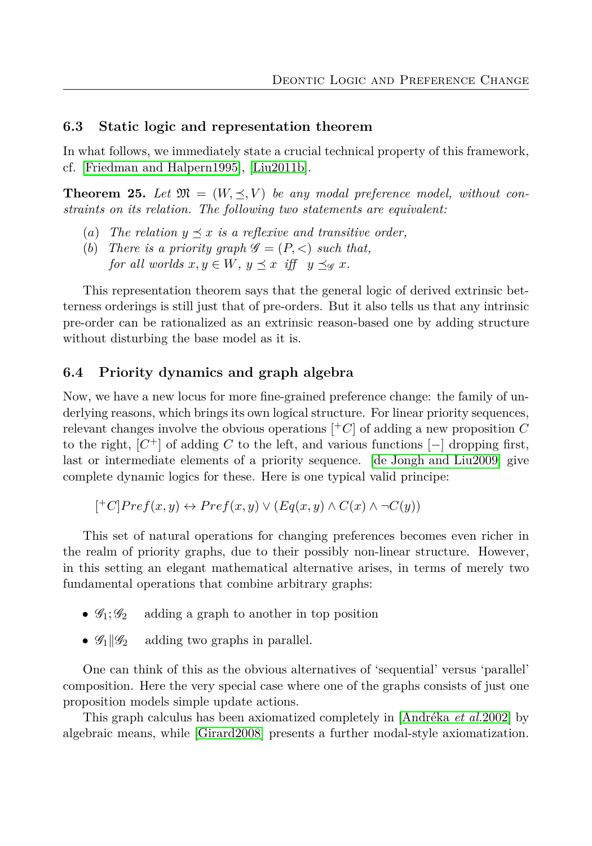### **6.3 Static logic and representation theorem**

In what follows, we immediately state a crucial technical property of this framework, cf. [\[Friedman and Halpern1995\]](#page-40-9), [\[Liu2011b\]](#page-43-5).

<span id="page-20-0"></span>**Theorem 25.** Let  $\mathfrak{M} = (W, \preceq, V)$  be any modal preference model, without con*straints on its relation. The following two statements are equivalent:*

- (*a*) The relation  $y \preceq x$  is a reflexive and transitive order,
- (*b*) There is a priority graph  $\mathscr{G} = (P, \langle)$  such that, *for all worlds*  $x, y \in W$ *,*  $y \preceq x$  *iff*  $y \preceq g$  *x.*

This representation theorem says that the general logic of derived extrinsic betterness orderings is still just that of pre-orders. But it also tells us that any intrinsic pre-order can be rationalized as an extrinsic reason-based one by adding structure without disturbing the base model as it is.

### **6.4 Priority dynamics and graph algebra**

Now, we have a new locus for more fine-grained preference change: the family of underlying reasons, which brings its own logical structure. For linear priority sequences, relevant changes involve the obvious operations [ <sup>+</sup>*C*] of adding a new proposition *C* to the right,  $|C^+|$  of adding  $C$  to the left, and various functions  $[-]$  dropping first, last or intermediate elements of a priority sequence. [\[de Jongh and Liu2009\]](#page-40-7) give complete dynamic logics for these. Here is one typical valid principe:

 $[{}^+C]Pref(x,y) \leftrightarrow Pref(x,y) \vee (Eq(x,y) \wedge C(x) \wedge \neg C(y))$ 

This set of natural operations for changing preferences becomes even richer in the realm of priority graphs, due to their possibly non-linear structure. However, in this setting an elegant mathematical alternative arises, in terms of merely two fundamental operations that combine arbitrary graphs:

- $\mathscr{G}_1; \mathscr{G}_2$  adding a graph to another in top position
- $\mathscr{G}_1 \| \mathscr{G}_2$  adding two graphs in parallel.

One can think of this as the obvious alternatives of 'sequential' versus 'parallel' composition. Here the very special case where one of the graphs consists of just one proposition models simple update actions.

This graph calculus has been axiomatized completely in [\[Andréka](#page-37-2) *et al.*2002] by algebraic means, while [\[Girard2008\]](#page-41-1) presents a further modal-style axiomatization.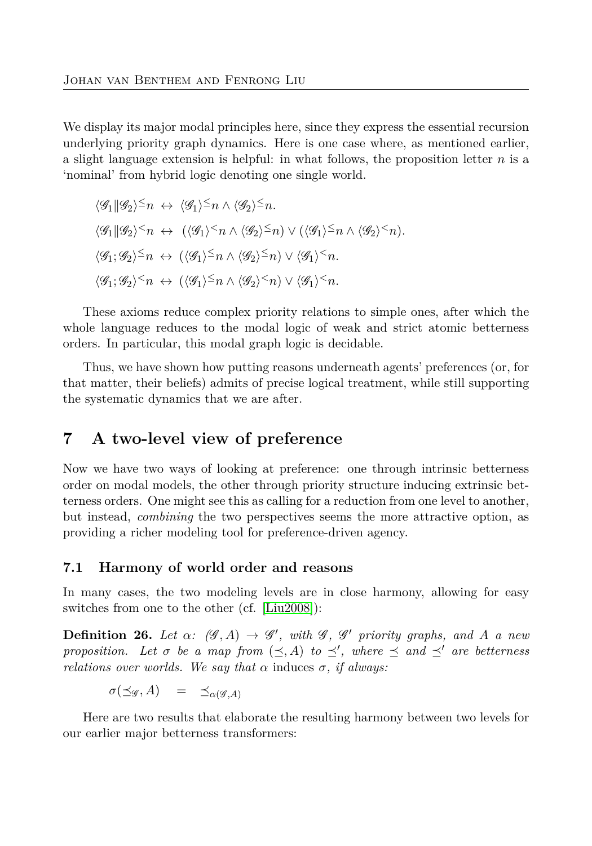We display its major modal principles here, since they express the essential recursion underlying priority graph dynamics. Here is one case where, as mentioned earlier, a slight language extension is helpful: in what follows, the proposition letter *n* is a 'nominal' from hybrid logic denoting one single world.

$$
\langle \mathcal{G}_1 | \mathcal{G}_2 \rangle^{\leq} n \leftrightarrow \langle \mathcal{G}_1 \rangle^{\leq} n \wedge \langle \mathcal{G}_2 \rangle^{\leq} n.
$$
  

$$
\langle \mathcal{G}_1 | \mathcal{G}_2 \rangle^{\leq} n \leftrightarrow (\langle \mathcal{G}_1 \rangle^{\leq} n \wedge \langle \mathcal{G}_2 \rangle^{\leq} n) \vee (\langle \mathcal{G}_1 \rangle^{\leq} n \wedge \langle \mathcal{G}_2 \rangle^{\leq} n).
$$
  

$$
\langle \mathcal{G}_1; \mathcal{G}_2 \rangle^{\leq} n \leftrightarrow (\langle \mathcal{G}_1 \rangle^{\leq} n \wedge \langle \mathcal{G}_2 \rangle^{\leq} n) \vee \langle \mathcal{G}_1 \rangle^{\leq} n.
$$
  

$$
\langle \mathcal{G}_1; \mathcal{G}_2 \rangle^{\leq} n \leftrightarrow (\langle \mathcal{G}_1 \rangle^{\leq} n \wedge \langle \mathcal{G}_2 \rangle^{\leq} n) \vee \langle \mathcal{G}_1 \rangle^{\leq} n.
$$

These axioms reduce complex priority relations to simple ones, after which the whole language reduces to the modal logic of weak and strict atomic betterness orders. In particular, this modal graph logic is decidable.

Thus, we have shown how putting reasons underneath agents' preferences (or, for that matter, their beliefs) admits of precise logical treatment, while still supporting the systematic dynamics that we are after.

### <span id="page-21-0"></span>**7 A two-level view of preference**

Now we have two ways of looking at preference: one through intrinsic betterness order on modal models, the other through priority structure inducing extrinsic betterness orders. One might see this as calling for a reduction from one level to another, but instead, *combining* the two perspectives seems the more attractive option, as providing a richer modeling tool for preference-driven agency.

#### **7.1 Harmony of world order and reasons**

In many cases, the two modeling levels are in close harmony, allowing for easy switches from one to the other (cf. [\[Liu2008\]](#page-43-3)):

**Definition 26.** Let  $\alpha$ :  $(\mathscr{G}, A) \rightarrow \mathscr{G}'$ , with  $\mathscr{G}, \mathscr{G}'$  priority graphs, and A a new *proposition.* Let  $\sigma$  be a map from  $(\leq, A)$  to  $\leq'$ , where  $\leq$  and  $\leq'$  are betterness *relations over worlds. We say that*  $\alpha$  induces  $\sigma$ *, if always:* 

$$
\sigma(\preceq_{\mathscr{G}}, A) = \preceq_{\alpha(\mathscr{G}, A)}
$$

<span id="page-21-1"></span>Here are two results that elaborate the resulting harmony between two levels for our earlier major betterness transformers: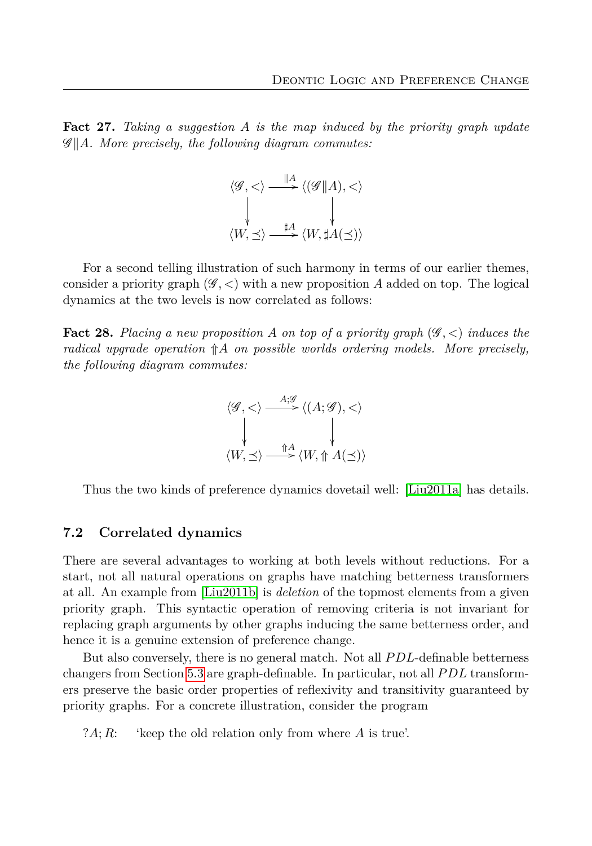**Fact 27.** *Taking a suggestion A is the map induced by the priority graph update*  $\mathscr{G}||A$ *. More precisely, the following diagram commutes:* 

$$
\langle \mathcal{G}, \langle \rangle \xrightarrow{\|A\|} \langle (\mathcal{G} \| A), \langle \rangle
$$

$$
\downarrow \qquad \qquad \downarrow
$$

$$
\langle W, \preceq \rangle \xrightarrow{\sharp A} \langle W, \sharp A(\preceq) \rangle
$$

For a second telling illustration of such harmony in terms of our earlier themes, consider a priority graph  $(\mathscr{G}, \langle)$  with a new proposition A added on top. The logical dynamics at the two levels is now correlated as follows:

**Fact 28.** Placing a new proposition A on top of a priority graph  $(\mathscr{G}, <)$  induces the *radical upgrade operation* ⇑*A on possible worlds ordering models. More precisely, the following diagram commutes:*

$$
\langle \mathcal{G}, \langle \rangle \xrightarrow{A; \mathcal{G}} \langle (A; \mathcal{G}), \langle \rangle
$$
  
 
$$
\downarrow \qquad \qquad \downarrow
$$
  
 
$$
\langle W, \preceq \rangle \xrightarrow{\uparrow A} \langle W, \Uparrow A(\preceq) \rangle
$$

Thus the two kinds of preference dynamics dovetail well: [\[Liu2011a\]](#page-43-4) has details.

#### <span id="page-22-0"></span>**7.2 Correlated dynamics**

There are several advantages to working at both levels without reductions. For a start, not all natural operations on graphs have matching betterness transformers at all. An example from [\[Liu2011b\]](#page-43-5) is *deletion* of the topmost elements from a given priority graph. This syntactic operation of removing criteria is not invariant for replacing graph arguments by other graphs inducing the same betterness order, and hence it is a genuine extension of preference change.

But also conversely, there is no general match. Not all *P DL*-definable betterness changers from Section [5.3](#page-17-0) are graph-definable. In particular, not all *P DL* transformers preserve the basic order properties of reflexivity and transitivity guaranteed by priority graphs. For a concrete illustration, consider the program

?*A*; *R*: 'keep the old relation only from where *A* is true'.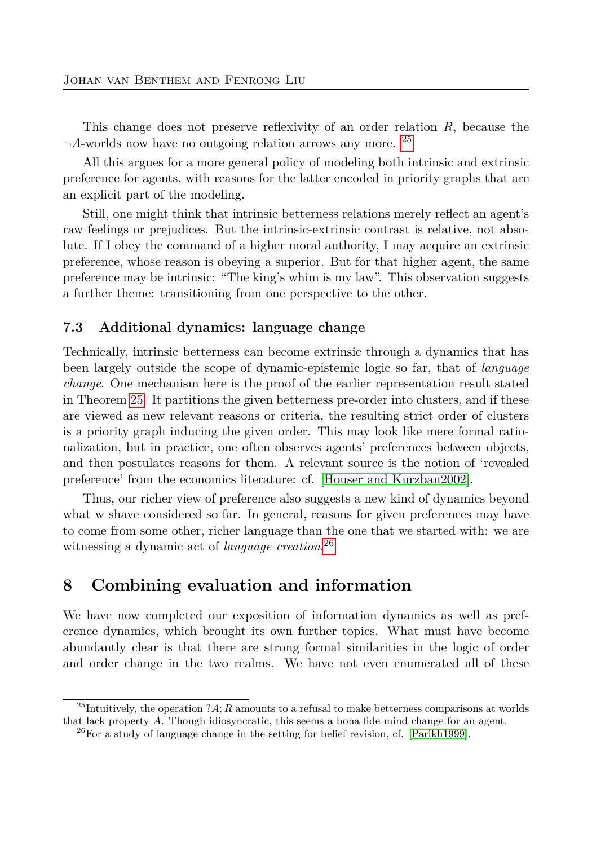This change does not preserve reflexivity of an order relation *R*, because the  $\neg A$ -worlds now have no outgoing relation arrows any more. <sup>[25](#page-0-0)</sup>

All this argues for a more general policy of modeling both intrinsic and extrinsic preference for agents, with reasons for the latter encoded in priority graphs that are an explicit part of the modeling.

Still, one might think that intrinsic betterness relations merely reflect an agent's raw feelings or prejudices. But the intrinsic-extrinsic contrast is relative, not absolute. If I obey the command of a higher moral authority, I may acquire an extrinsic preference, whose reason is obeying a superior. But for that higher agent, the same preference may be intrinsic: "The king's whim is my law". This observation suggests a further theme: transitioning from one perspective to the other.

### **7.3 Additional dynamics: language change**

Technically, intrinsic betterness can become extrinsic through a dynamics that has been largely outside the scope of dynamic-epistemic logic so far, that of *language change*. One mechanism here is the proof of the earlier representation result stated in Theorem [25.](#page-20-0) It partitions the given betterness pre-order into clusters, and if these are viewed as new relevant reasons or criteria, the resulting strict order of clusters is a priority graph inducing the given order. This may look like mere formal rationalization, but in practice, one often observes agents' preferences between objects, and then postulates reasons for them. A relevant source is the notion of 'revealed preference' from the economics literature: cf. [\[Houser and Kurzban2002\]](#page-42-8).

Thus, our richer view of preference also suggests a new kind of dynamics beyond what w shave considered so far. In general, reasons for given preferences may have to come from some other, richer language than the one that we started with: we are witnessing a dynamic act of *language creation*. [26](#page-0-0)

### <span id="page-23-0"></span>**8 Combining evaluation and information**

We have now completed our exposition of information dynamics as well as preference dynamics, which brought its own further topics. What must have become abundantly clear is that there are strong formal similarities in the logic of order and order change in the two realms. We have not even enumerated all of these

<sup>&</sup>lt;sup>25</sup>Intuitively, the operation  $?A; R$  amounts to a refusal to make betterness comparisons at worlds that lack property *A*. Though idiosyncratic, this seems a bona fide mind change for an agent.

 $^{26}$ For a study of language change in the setting for belief revision, cf. [\[Parikh1999\]](#page-44-7).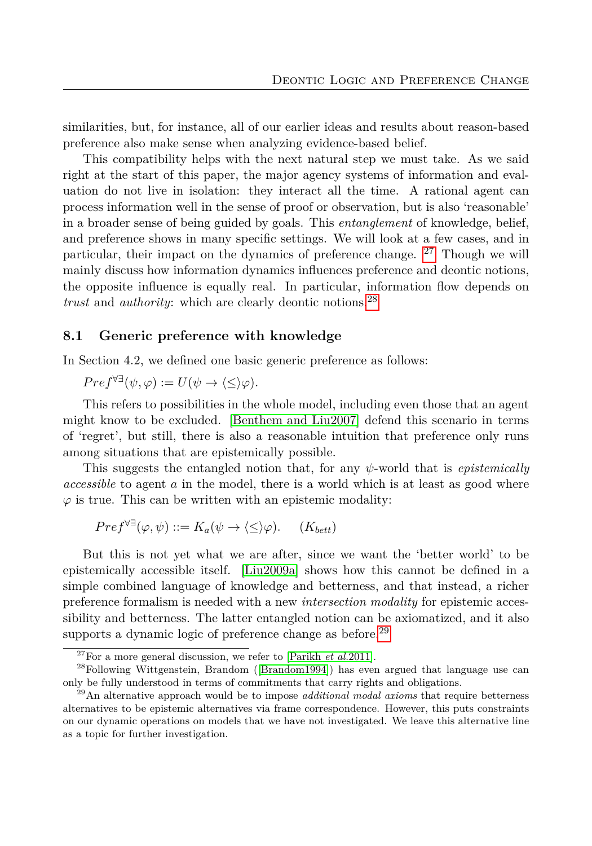similarities, but, for instance, all of our earlier ideas and results about reason-based preference also make sense when analyzing evidence-based belief.

This compatibility helps with the next natural step we must take. As we said right at the start of this paper, the major agency systems of information and evaluation do not live in isolation: they interact all the time. A rational agent can process information well in the sense of proof or observation, but is also 'reasonable' in a broader sense of being guided by goals. This *entanglement* of knowledge, belief, and preference shows in many specific settings. We will look at a few cases, and in particular, their impact on the dynamics of preference change.  $27$  Though we will mainly discuss how information dynamics influences preference and deontic notions, the opposite influence is equally real. In particular, information flow depends on *trust* and *authority*: which are clearly deontic notions.[28](#page-0-0)

#### **8.1 Generic preference with knowledge**

In Section 4.2, we defined one basic generic preference as follows:

 $Pref^{\forall \exists}(\psi, \varphi) := U(\psi \rightarrow \langle \leq \rangle \varphi).$ 

This refers to possibilities in the whole model, including even those that an agent might know to be excluded. [\[Benthem and Liu2007\]](#page-38-2) defend this scenario in terms of 'regret', but still, there is also a reasonable intuition that preference only runs among situations that are epistemically possible.

This suggests the entangled notion that, for any *ψ*-world that is *epistemically accessible* to agent *a* in the model, there is a world which is at least as good where  $\varphi$  is true. This can be written with an epistemic modality:

$$
Pref^{\forall\exists}(\varphi,\psi) ::= K_a(\psi \to \langle \leq \rangle \varphi). \quad (K_{bett})
$$

But this is not yet what we are after, since we want the 'better world' to be epistemically accessible itself. [\[Liu2009a\]](#page-43-6) shows how this cannot be defined in a simple combined language of knowledge and betterness, and that instead, a richer preference formalism is needed with a new *intersection modality* for epistemic accessibility and betterness. The latter entangled notion can be axiomatized, and it also supports a dynamic logic of preference change as before.<sup>[29](#page-0-0)</sup>

<sup>27</sup>For a more general discussion, we refer to [\[Parikh](#page-44-8) *et al.*2011].

 $28$ Following Wittgenstein, Brandom ([\[Brandom1994\]](#page-39-14)) has even argued that language use can only be fully understood in terms of commitments that carry rights and obligations.

<sup>29</sup>An alternative approach would be to impose *additional modal axioms* that require betterness alternatives to be epistemic alternatives via frame correspondence. However, this puts constraints on our dynamic operations on models that we have not investigated. We leave this alternative line as a topic for further investigation.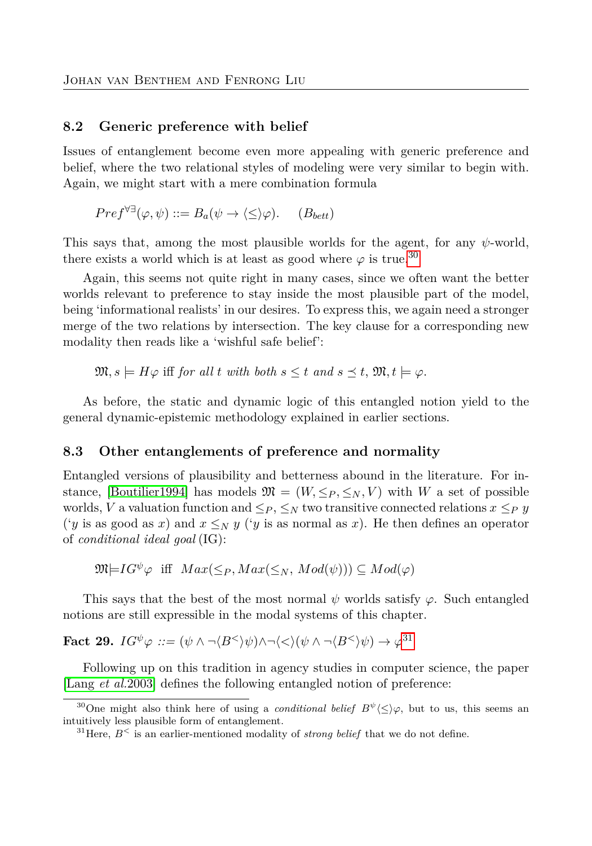#### **8.2 Generic preference with belief**

Issues of entanglement become even more appealing with generic preference and belief, where the two relational styles of modeling were very similar to begin with. Again, we might start with a mere combination formula

$$
Pref^{\forall \exists}(\varphi, \psi) ::= B_a(\psi \to \langle \leq \rangle \varphi). \quad (B_{bett})
$$

This says that, among the most plausible worlds for the agent, for any *ψ*-world, there exists a world which is at least as good where  $\varphi$  is true.<sup>[30](#page-0-0)</sup>

Again, this seems not quite right in many cases, since we often want the better worlds relevant to preference to stay inside the most plausible part of the model, being 'informational realists' in our desires. To express this, we again need a stronger merge of the two relations by intersection. The key clause for a corresponding new modality then reads like a 'wishful safe belief':

 $\mathfrak{M}, s \models H\varphi \text{ iff for all } t \text{ with both } s \leq t \text{ and } s \leq t, \mathfrak{M}, t \models \varphi.$ 

As before, the static and dynamic logic of this entangled notion yield to the general dynamic-epistemic methodology explained in earlier sections.

#### **8.3 Other entanglements of preference and normality**

Entangled versions of plausibility and betterness abound in the literature. For in-stance, [\[Boutilier1994\]](#page-39-7) has models  $\mathfrak{M} = (W, \leq_P, \leq_N, V)$  with W a set of possible worlds, *V* a valuation function and  $\leq_P$ ,  $\leq_N$  two transitive connected relations  $x \leq_P y$ ('*y* is as good as *x*) and  $x \leq_N y$  ('*y* is as normal as *x*). He then defines an operator of *conditional ideal goal* (IG):

 $\mathfrak{M} \models IG^{\psi} \varphi$  iff  $Max(\leq_P, Max(\leq_N, Mod(\psi))) \subseteq Mod(\varphi)$ 

This says that the best of the most normal  $\psi$  worlds satisfy  $\varphi$ . Such entangled notions are still expressible in the modal systems of this chapter.

**Fact 29.**  $IG^{\psi} \varphi ::= (\psi \wedge \neg \langle B^{\leq} \rangle \psi) \wedge \neg \langle \lt \rangle (\psi \wedge \neg \langle B^{\leq} \rangle \psi) \rightarrow \varphi^{31}$  $IG^{\psi} \varphi ::= (\psi \wedge \neg \langle B^{\leq} \rangle \psi) \wedge \neg \langle \lt \rangle (\psi \wedge \neg \langle B^{\leq} \rangle \psi) \rightarrow \varphi^{31}$  $IG^{\psi} \varphi ::= (\psi \wedge \neg \langle B^{\leq} \rangle \psi) \wedge \neg \langle \lt \rangle (\psi \wedge \neg \langle B^{\leq} \rangle \psi) \rightarrow \varphi^{31}$ 

Following up on this tradition in agency studies in computer science, the paper [\[Lang](#page-43-7) *et al.*2003] defines the following entangled notion of preference:

<sup>&</sup>lt;sup>30</sup>One might also think here of using a *conditional belief*  $B^{\psi}(\leq)\varphi$ , but to us, this seems an intuitively less plausible form of entanglement.

 $31$  Here,  $B<sup>0</sup>$  is an earlier-mentioned modality of *strong belief* that we do not define.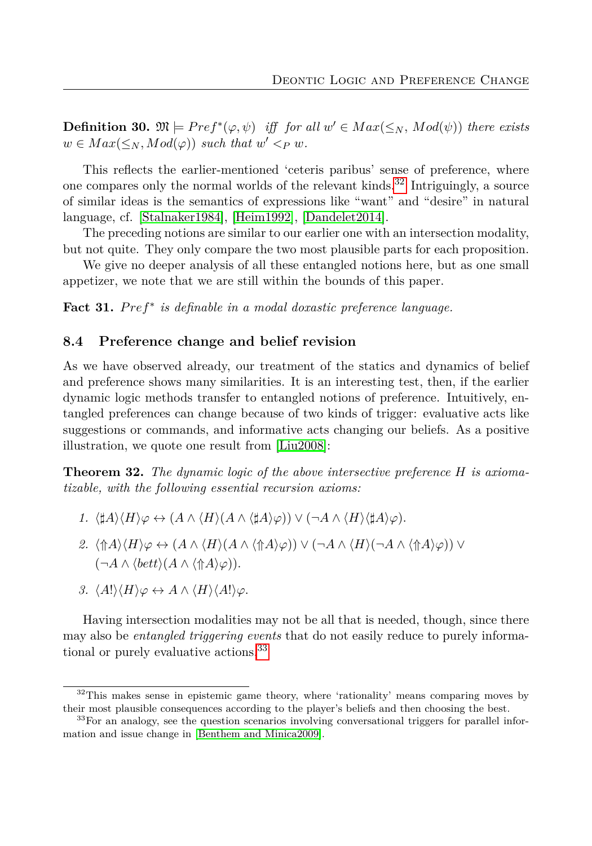**Definition 30.**  $\mathfrak{M} \models Pref^*(\varphi, \psi)$  *iff for all*  $w' \in Max(\leq_N, Mod(\psi))$  *there exists*  $w \in Max(\leq_N, Mod(\varphi))$  *such that*  $w' <sup>P</sup>$  *w*.

This reflects the earlier-mentioned 'ceteris paribus' sense of preference, where one compares only the normal worlds of the relevant kinds.<sup>[32](#page-0-0)</sup> Intriguingly, a source of similar ideas is the semantics of expressions like "want" and "desire" in natural language, cf. [\[Stalnaker1984\]](#page-45-16), [\[Heim1992\]](#page-42-9), [\[Dandelet2014\]](#page-39-15).

The preceding notions are similar to our earlier one with an intersection modality, but not quite. They only compare the two most plausible parts for each proposition.

We give no deeper analysis of all these entangled notions here, but as one small appetizer, we note that we are still within the bounds of this paper.

Fact 31. Pref<sup>\*</sup> is definable in a modal doxastic preference language.

### **8.4 Preference change and belief revision**

As we have observed already, our treatment of the statics and dynamics of belief and preference shows many similarities. It is an interesting test, then, if the earlier dynamic logic methods transfer to entangled notions of preference. Intuitively, entangled preferences can change because of two kinds of trigger: evaluative acts like suggestions or commands, and informative acts changing our beliefs. As a positive illustration, we quote one result from [\[Liu2008\]](#page-43-3):

**Theorem 32.** *The dynamic logic of the above intersective preference H is axiomatizable, with the following essential recursion axioms:*

- *1.*  $\langle \sharp A \rangle \langle H \rangle \varphi \leftrightarrow (A \wedge \langle H \rangle (A \wedge \langle \sharp A \rangle \varphi)) \vee (\neg A \wedge \langle H \rangle \langle \sharp A \rangle \varphi).$
- $2. \langle \Uparrow A \rangle \langle H \rangle \varphi \leftrightarrow (A \wedge \langle H \rangle (A \wedge \langle \Uparrow A \rangle \varphi)) \vee (\neg A \wedge \langle H \rangle (\neg A \wedge \langle \Uparrow A \rangle \varphi))$  ∨  $(\neg A \land \langle bett \rangle(A \land \langle \Uparrow A \rangle \varphi)).$
- *3.*  $\langle A! \rangle \langle H \rangle \varphi \leftrightarrow A \wedge \langle H \rangle \langle A! \rangle \varphi$ .

Having intersection modalities may not be all that is needed, though, since there may also be *entangled triggering events* that do not easily reduce to purely informa-tional or purely evaluative actions.<sup>[33](#page-0-0)</sup>

<sup>&</sup>lt;sup>32</sup>This makes sense in epistemic game theory, where 'rationality' means comparing moves by their most plausible consequences according to the player's beliefs and then choosing the best.

<sup>&</sup>lt;sup>33</sup>For an analogy, see the question scenarios involving conversational triggers for parallel information and issue change in [\[Benthem and Minica2009\]](#page-38-8).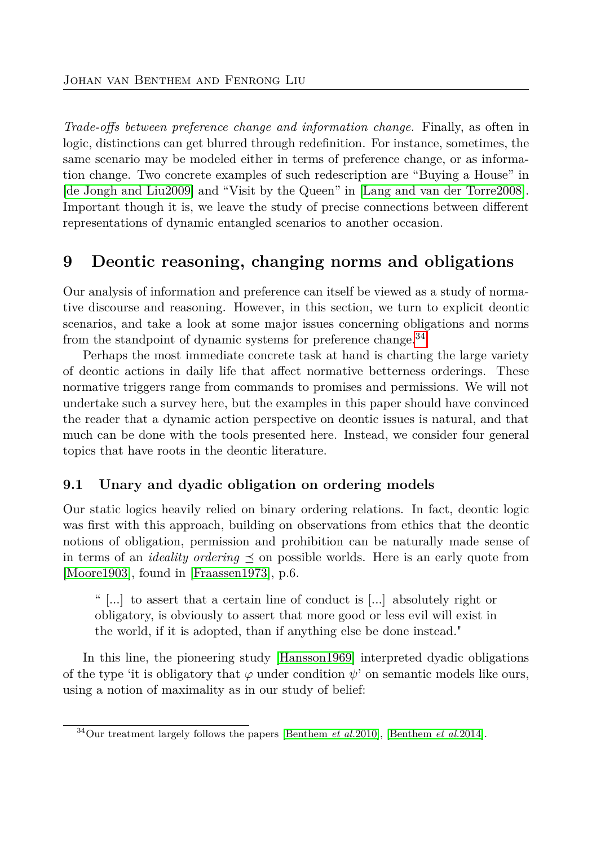*Trade-offs between preference change and information change.* Finally, as often in logic, distinctions can get blurred through redefinition. For instance, sometimes, the same scenario may be modeled either in terms of preference change, or as information change. Two concrete examples of such redescription are "Buying a House" in [\[de Jongh and Liu2009\]](#page-40-7) and "Visit by the Queen" in [\[Lang and van der Torre2008\]](#page-42-10). Important though it is, we leave the study of precise connections between different representations of dynamic entangled scenarios to another occasion.

# <span id="page-27-0"></span>**9 Deontic reasoning, changing norms and obligations**

Our analysis of information and preference can itself be viewed as a study of normative discourse and reasoning. However, in this section, we turn to explicit deontic scenarios, and take a look at some major issues concerning obligations and norms from the standpoint of dynamic systems for preference change.<sup>[34](#page-0-0)</sup>

Perhaps the most immediate concrete task at hand is charting the large variety of deontic actions in daily life that affect normative betterness orderings. These normative triggers range from commands to promises and permissions. We will not undertake such a survey here, but the examples in this paper should have convinced the reader that a dynamic action perspective on deontic issues is natural, and that much can be done with the tools presented here. Instead, we consider four general topics that have roots in the deontic literature.

### **9.1 Unary and dyadic obligation on ordering models**

Our static logics heavily relied on binary ordering relations. In fact, deontic logic was first with this approach, building on observations from ethics that the deontic notions of obligation, permission and prohibition can be naturally made sense of in terms of an *ideality ordering*  $\leq$  on possible worlds. Here is an early quote from [\[Moore1903\]](#page-43-8), found in [\[Fraassen1973\]](#page-40-5), p.6.

" [...] to assert that a certain line of conduct is [...] absolutely right or obligatory, is obviously to assert that more good or less evil will exist in the world, if it is adopted, than if anything else be done instead."

In this line, the pioneering study [\[Hansson1969\]](#page-41-3) interpreted dyadic obligations of the type 'it is obligatory that  $\varphi$  under condition  $\psi'$  on semantic models like ours, using a notion of maximality as in our study of belief:

<sup>34</sup>Our treatment largely follows the papers [\[Benthem](#page-39-12) *et al.*2010], [\[Benthem](#page-39-0) *et al.*2014].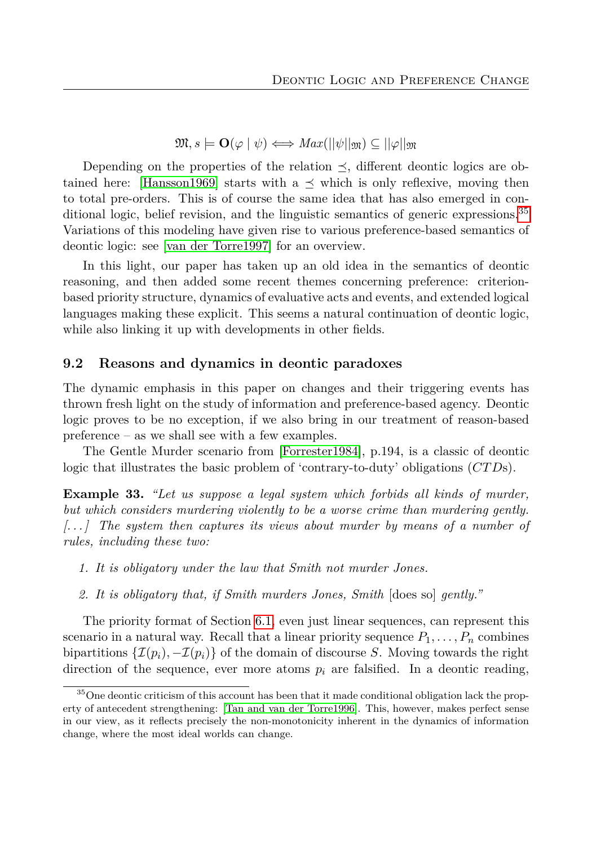$\mathfrak{M}, s \models \mathbf{O}(\varphi \mid \psi) \Longleftrightarrow Max(||\psi||_{\mathfrak{M}}) \subseteq ||\varphi||_{\mathfrak{M}}$ 

Depending on the properties of the relation  $\preceq$ , different deontic logics are ob-tained here: [\[Hansson1969\]](#page-41-3) starts with a  $\leq$  which is only reflexive, moving then to total pre-orders. This is of course the same idea that has also emerged in con-ditional logic, belief revision, and the linguistic semantics of generic expressions.<sup>[35](#page-0-0)</sup> Variations of this modeling have given rise to various preference-based semantics of deontic logic: see [\[van der Torre1997\]](#page-45-14) for an overview.

In this light, our paper has taken up an old idea in the semantics of deontic reasoning, and then added some recent themes concerning preference: criterionbased priority structure, dynamics of evaluative acts and events, and extended logical languages making these explicit. This seems a natural continuation of deontic logic, while also linking it up with developments in other fields.

#### **9.2 Reasons and dynamics in deontic paradoxes**

The dynamic emphasis in this paper on changes and their triggering events has thrown fresh light on the study of information and preference-based agency. Deontic logic proves to be no exception, if we also bring in our treatment of reason-based preference – as we shall see with a few examples.

The Gentle Murder scenario from [\[Forrester1984\]](#page-40-10), p.194, is a classic of deontic logic that illustrates the basic problem of 'contrary-to-duty' obligations (*CT D*s).

**Example 33.** *"Let us suppose a legal system which forbids all kinds of murder, but which considers murdering violently to be a worse crime than murdering gently. [. . . ] The system then captures its views about murder by means of a number of rules, including these two:*

- *1. It is obligatory under the law that Smith not murder Jones.*
- *2. It is obligatory that, if Smith murders Jones, Smith* [does so] *gently."*

The priority format of Section [6.1,](#page-18-0) even just linear sequences, can represent this scenario in a natural way. Recall that a linear priority sequence  $P_1, \ldots, P_n$  combines bipartitions  $\{\mathcal{I}(p_i), -\mathcal{I}(p_i)\}\$  of the domain of discourse *S*. Moving towards the right direction of the sequence, ever more atoms  $p_i$  are falsified. In a deontic reading,

<sup>&</sup>lt;sup>35</sup>One deontic criticism of this account has been that it made conditional obligation lack the property of antecedent strengthening: [\[Tan and van der Torre1996\]](#page-45-17). This, however, makes perfect sense in our view, as it reflects precisely the non-monotonicity inherent in the dynamics of information change, where the most ideal worlds can change.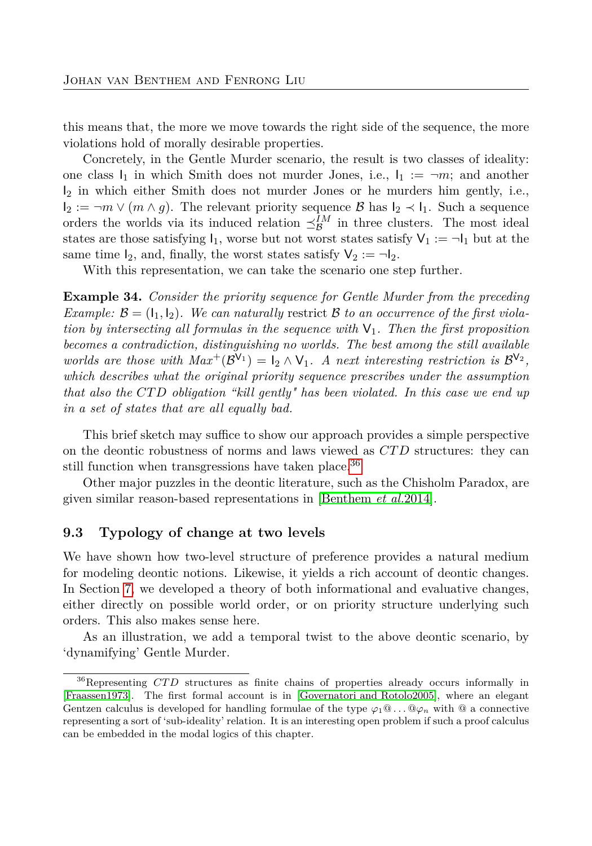this means that, the more we move towards the right side of the sequence, the more violations hold of morally desirable properties.

Concretely, in the Gentle Murder scenario, the result is two classes of ideality: one class  $I_1$  in which Smith does not murder Jones, i.e.,  $I_1 := \neg m$ ; and another I<sup>2</sup> in which either Smith does not murder Jones or he murders him gently, i.e.,  $I_2 := \neg m \vee (m \wedge g)$ . The relevant priority sequence B has  $I_2 \prec I_1$ . Such a sequence orders the worlds via its induced relation  $\preceq_{\mathcal{B}}^{IM}$  in three clusters. The most ideal states are those satisfying  $I_1$ , worse but not worst states satisfy  $V_1 := -I_1$  but at the same time  $I_2$ , and, finally, the worst states satisfy  $V_2 := -I_2$ .

With this representation, we can take the scenario one step further.

**Example 34.** *Consider the priority sequence for Gentle Murder from the preceding Example:*  $\mathcal{B} = (I_1, I_2)$ *. We can naturally restrict*  $\mathcal{B}$  *to an occurrence of the first violation by intersecting all formulas in the sequence with* V1*. Then the first proposition becomes a contradiction, distinguishing no worlds. The best among the still available worlds are those with*  $Max^+(\mathcal{B}^{\mathsf{V}_1}) = I_2 \wedge \mathsf{V}_1$ . A next interesting restriction is  $\mathcal{B}^{\mathsf{V}_2}$ , *which describes what the original priority sequence prescribes under the assumption that also the CT D obligation "kill gently" has been violated. In this case we end up in a set of states that are all equally bad.*

This brief sketch may suffice to show our approach provides a simple perspective on the deontic robustness of norms and laws viewed as *CT D* structures: they can still function when transgressions have taken place.<sup>[36](#page-0-0)</sup>

Other major puzzles in the deontic literature, such as the Chisholm Paradox, are given similar reason-based representations in [\[Benthem](#page-39-0) *et al.*2014].

#### **9.3 Typology of change at two levels**

We have shown how two-level structure of preference provides a natural medium for modeling deontic notions. Likewise, it yields a rich account of deontic changes. In Section [7,](#page-21-0) we developed a theory of both informational and evaluative changes, either directly on possible world order, or on priority structure underlying such orders. This also makes sense here.

As an illustration, we add a temporal twist to the above deontic scenario, by 'dynamifying' Gentle Murder.

<sup>&</sup>lt;sup>36</sup>Representing *CTD* structures as finite chains of properties already occurs informally in [\[Fraassen1973\]](#page-40-5). The first formal account is in [\[Governatori and Rotolo2005\]](#page-41-9), where an elegant Gentzen calculus is developed for handling formulae of the type  $\varphi_1 @ \dots @ \varphi_n$  with @ a connective representing a sort of 'sub-ideality' relation. It is an interesting open problem if such a proof calculus can be embedded in the modal logics of this chapter.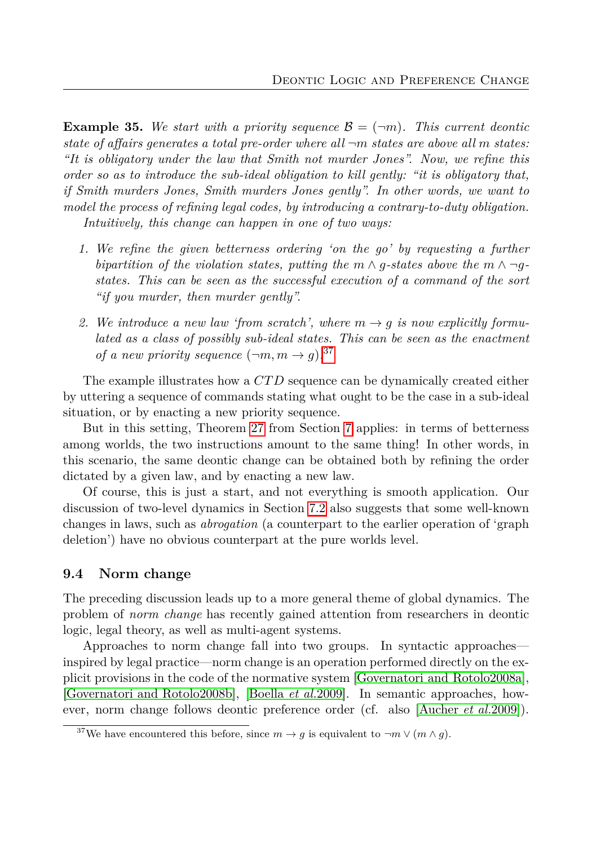**Example 35.** We start with a priority sequence  $\mathcal{B} = (\neg m)$ . This current deontic *state of affairs generates a total pre-order where all* ¬*m states are above all m states: "It is obligatory under the law that Smith not murder Jones". Now, we refine this order so as to introduce the sub-ideal obligation to kill gently: "it is obligatory that, if Smith murders Jones, Smith murders Jones gently". In other words, we want to model the process of refining legal codes, by introducing a contrary-to-duty obligation. Intuitively, this change can happen in one of two ways:*

- *1. We refine the given betterness ordering 'on the go' by requesting a further bipartition of the violation states, putting the*  $m \wedge g$ *-states above the*  $m \wedge \neg g$ *states. This can be seen as the successful execution of a command of the sort "if you murder, then murder gently".*
- 2. We introduce a new law 'from scratch', where  $m \rightarrow g$  is now explicitly formu*lated as a class of possibly sub-ideal states. This can be seen as the enactment of a new priority sequence*  $(\neg m, m \rightarrow g)$ .<sup>[37](#page-0-0)</sup>

The example illustrates how a *CT D* sequence can be dynamically created either by uttering a sequence of commands stating what ought to be the case in a sub-ideal situation, or by enacting a new priority sequence.

But in this setting, Theorem [27](#page-21-1) from Section [7](#page-21-0) applies: in terms of betterness among worlds, the two instructions amount to the same thing! In other words, in this scenario, the same deontic change can be obtained both by refining the order dictated by a given law, and by enacting a new law.

Of course, this is just a start, and not everything is smooth application. Our discussion of two-level dynamics in Section [7.2](#page-22-0) also suggests that some well-known changes in laws, such as *abrogation* (a counterpart to the earlier operation of 'graph deletion') have no obvious counterpart at the pure worlds level.

### **9.4 Norm change**

The preceding discussion leads up to a more general theme of global dynamics. The problem of *norm change* has recently gained attention from researchers in deontic logic, legal theory, as well as multi-agent systems.

Approaches to norm change fall into two groups. In syntactic approaches inspired by legal practice—norm change is an operation performed directly on the explicit provisions in the code of the normative system [\[Governatori and Rotolo2008a\]](#page-41-10), [\[Governatori and Rotolo2008b\]](#page-41-11), [\[Boella](#page-39-16) *et al.*2009]. In semantic approaches, however, norm change follows deontic preference order (cf. also [\[Aucher](#page-37-3) *et al.*2009]).

<sup>&</sup>lt;sup>37</sup>We have encountered this before, since  $m \to g$  is equivalent to  $\neg m \lor (m \land g)$ .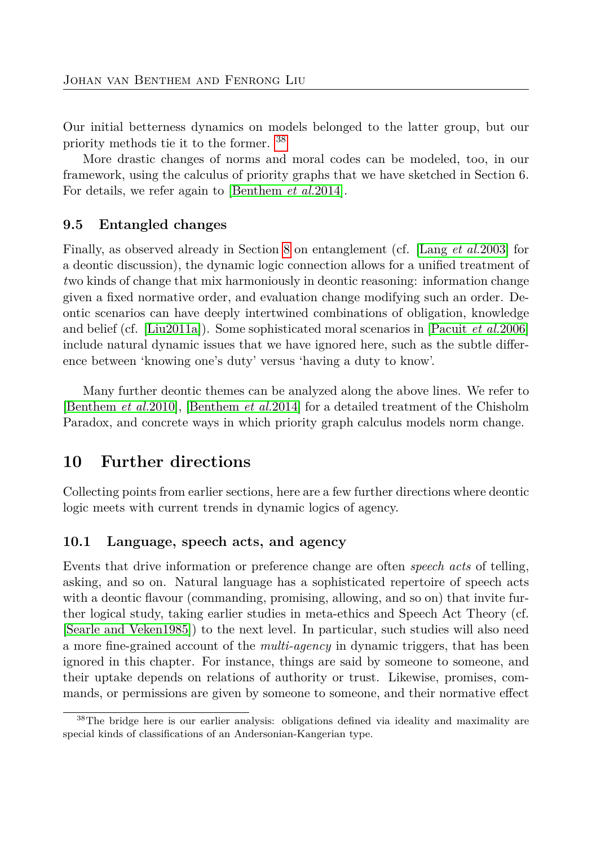Our initial betterness dynamics on models belonged to the latter group, but our priority methods tie it to the former. [38](#page-0-0)

More drastic changes of norms and moral codes can be modeled, too, in our framework, using the calculus of priority graphs that we have sketched in Section 6. For details, we refer again to [\[Benthem](#page-39-0) *et al.*2014].

### **9.5 Entangled changes**

Finally, as observed already in Section [8](#page-23-0) on entanglement (cf. [\[Lang](#page-43-7) *et al.*2003] for a deontic discussion), the dynamic logic connection allows for a unified treatment of *t*wo kinds of change that mix harmoniously in deontic reasoning: information change given a fixed normative order, and evaluation change modifying such an order. Deontic scenarios can have deeply intertwined combinations of obligation, knowledge and belief (cf. [\[Liu2011a\]](#page-43-4)). Some sophisticated moral scenarios in [\[Pacuit](#page-43-9) *et al.*2006] include natural dynamic issues that we have ignored here, such as the subtle difference between 'knowing one's duty' versus 'having a duty to know'.

Many further deontic themes can be analyzed along the above lines. We refer to [\[Benthem](#page-39-12) *et al.*2010], [\[Benthem](#page-39-0) *et al.*2014] for a detailed treatment of the Chisholm Paradox, and concrete ways in which priority graph calculus models norm change.

### **10 Further directions**

Collecting points from earlier sections, here are a few further directions where deontic logic meets with current trends in dynamic logics of agency.

### **10.1 Language, speech acts, and agency**

Events that drive information or preference change are often *speech acts* of telling, asking, and so on. Natural language has a sophisticated repertoire of speech acts with a deontic flavour (commanding, promising, allowing, and so on) that invite further logical study, taking earlier studies in meta-ethics and Speech Act Theory (cf. [\[Searle and Veken1985\]](#page-44-9)) to the next level. In particular, such studies will also need a more fine-grained account of the *multi-agency* in dynamic triggers, that has been ignored in this chapter. For instance, things are said by someone to someone, and their uptake depends on relations of authority or trust. Likewise, promises, commands, or permissions are given by someone to someone, and their normative effect

<sup>&</sup>lt;sup>38</sup>The bridge here is our earlier analysis: obligations defined via ideality and maximality are special kinds of classifications of an Andersonian-Kangerian type.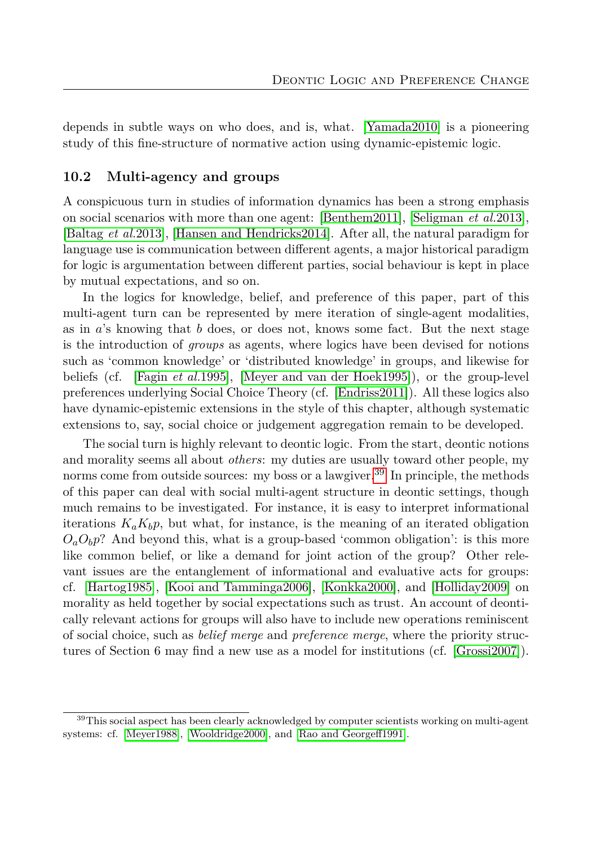depends in subtle ways on who does, and is, what. [\[Yamada2010\]](#page-46-3) is a pioneering study of this fine-structure of normative action using dynamic-epistemic logic.

### **10.2 Multi-agency and groups**

A conspicuous turn in studies of information dynamics has been a strong emphasis on social scenarios with more than one agent: [\[Benthem2011\]](#page-39-9), [\[Seligman](#page-44-4) *et al.*2013], [\[Baltag](#page-38-9) *et al.*2013], [\[Hansen and Hendricks2014\]](#page-41-2). After all, the natural paradigm for language use is communication between different agents, a major historical paradigm for logic is argumentation between different parties, social behaviour is kept in place by mutual expectations, and so on.

In the logics for knowledge, belief, and preference of this paper, part of this multi-agent turn can be represented by mere iteration of single-agent modalities, as in *a*'s knowing that *b* does, or does not, knows some fact. But the next stage is the introduction of *groups* as agents, where logics have been devised for notions such as 'common knowledge' or 'distributed knowledge' in groups, and likewise for beliefs (cf. [\[Fagin](#page-40-0) *et al.*1995], [\[Meyer and van der Hoek1995\]](#page-43-10)), or the group-level preferences underlying Social Choice Theory (cf. [\[Endriss2011\]](#page-40-11)). All these logics also have dynamic-epistemic extensions in the style of this chapter, although systematic extensions to, say, social choice or judgement aggregation remain to be developed.

The social turn is highly relevant to deontic logic. From the start, deontic notions and morality seems all about *others*: my duties are usually toward other people, my norms come from outside sources: my boss or a lawgiver.<sup>[39](#page-0-0)</sup> In principle, the methods of this paper can deal with social multi-agent structure in deontic settings, though much remains to be investigated. For instance, it is easy to interpret informational iterations  $K_a K_b p$ , but what, for instance, is the meaning of an iterated obligation  $O_aO_b p$ ? And beyond this, what is a group-based 'common obligation': is this more like common belief, or like a demand for joint action of the group? Other relevant issues are the entanglement of informational and evaluative acts for groups: cf. [\[Hartog1985\]](#page-42-11), [\[Kooi and Tamminga2006\]](#page-42-12), [\[Konkka2000\]](#page-42-13), and [\[Holliday2009\]](#page-42-4) on morality as held together by social expectations such as trust. An account of deontically relevant actions for groups will also have to include new operations reminiscent of social choice, such as *belief merge* and *preference merge*, where the priority structures of Section 6 may find a new use as a model for institutions (cf. [\[Grossi2007\]](#page-41-12)).

<sup>&</sup>lt;sup>39</sup>This social aspect has been clearly acknowledged by computer scientists working on multi-agent systems: cf. [\[Meyer1988\]](#page-43-11), [\[Wooldridge2000\]](#page-46-4), and [\[Rao and Georgeff1991\]](#page-44-10).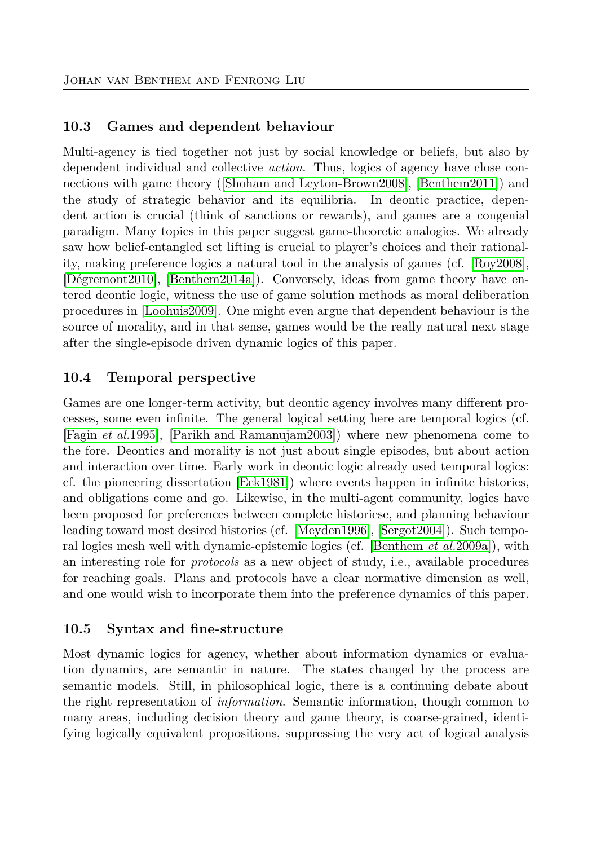### **10.3 Games and dependent behaviour**

Multi-agency is tied together not just by social knowledge or beliefs, but also by dependent individual and collective *action*. Thus, logics of agency have close connections with game theory ([\[Shoham and Leyton-Brown2008\]](#page-45-8), [\[Benthem2011\]](#page-39-9)) and the study of strategic behavior and its equilibria. In deontic practice, dependent action is crucial (think of sanctions or rewards), and games are a congenial paradigm. Many topics in this paper suggest game-theoretic analogies. We already saw how belief-entangled set lifting is crucial to player's choices and their rationality, making preference logics a natural tool in the analysis of games (cf. [\[Roy2008\]](#page-44-3), [\[Dégremont2010\]](#page-40-12), [\[Benthem2014a\]](#page-39-2)). Conversely, ideas from game theory have entered deontic logic, witness the use of game solution methods as moral deliberation procedures in [\[Loohuis2009\]](#page-43-12). One might even argue that dependent behaviour is the source of morality, and in that sense, games would be the really natural next stage after the single-episode driven dynamic logics of this paper.

### **10.4 Temporal perspective**

Games are one longer-term activity, but deontic agency involves many different processes, some even infinite. The general logical setting here are temporal logics (cf. [\[Fagin](#page-40-0) *et al.*1995], [\[Parikh and Ramanujam2003\]](#page-44-11)) where new phenomena come to the fore. Deontics and morality is not just about single episodes, but about action and interaction over time. Early work in deontic logic already used temporal logics: cf. the pioneering dissertation [\[Eck1981\]](#page-40-13)) where events happen in infinite histories, and obligations come and go. Likewise, in the multi-agent community, logics have been proposed for preferences between complete historiese, and planning behaviour leading toward most desired histories (cf. [\[Meyden1996\]](#page-43-13), [\[Sergot2004\]](#page-44-12)). Such temporal logics mesh well with dynamic-epistemic logics (cf. [\[Benthem](#page-38-1) *et al.*2009a]), with an interesting role for *protocols* as a new object of study, i.e., available procedures for reaching goals. Plans and protocols have a clear normative dimension as well, and one would wish to incorporate them into the preference dynamics of this paper.

### **10.5 Syntax and fine-structure**

Most dynamic logics for agency, whether about information dynamics or evaluation dynamics, are semantic in nature. The states changed by the process are semantic models. Still, in philosophical logic, there is a continuing debate about the right representation of *information*. Semantic information, though common to many areas, including decision theory and game theory, is coarse-grained, identifying logically equivalent propositions, suppressing the very act of logical analysis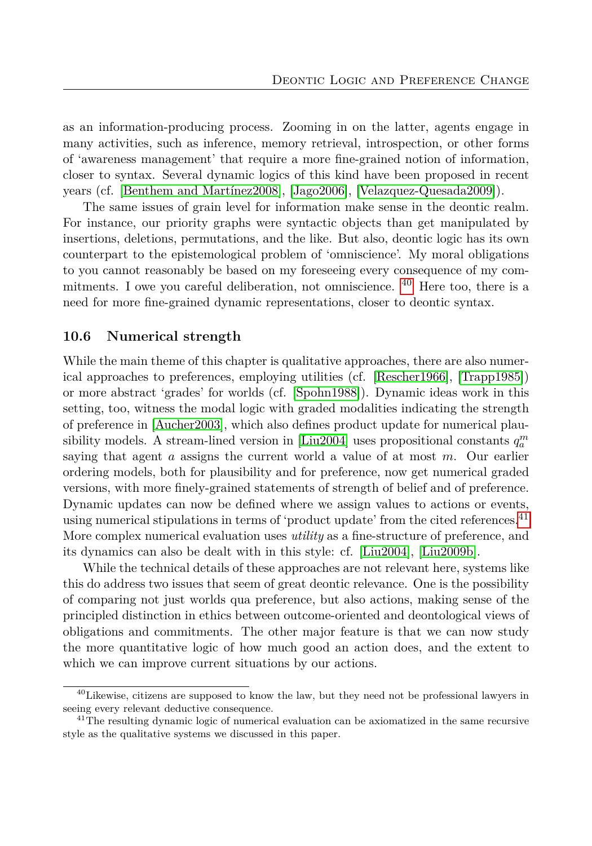as an information-producing process. Zooming in on the latter, agents engage in many activities, such as inference, memory retrieval, introspection, or other forms of 'awareness management' that require a more fine-grained notion of information, closer to syntax. Several dynamic logics of this kind have been proposed in recent years (cf. [\[Benthem and Martínez2008\]](#page-38-12), [\[Jago2006\]](#page-42-14), [\[Velazquez-Quesada2009\]](#page-45-11)).

The same issues of grain level for information make sense in the deontic realm. For instance, our priority graphs were syntactic objects than get manipulated by insertions, deletions, permutations, and the like. But also, deontic logic has its own counterpart to the epistemological problem of 'omniscience'. My moral obligations to you cannot reasonably be based on my foreseeing every consequence of my com-mitments. I owe you careful deliberation, not omniscience. <sup>[40](#page-0-0)</sup> Here too, there is a need for more fine-grained dynamic representations, closer to deontic syntax.

### **10.6 Numerical strength**

While the main theme of this chapter is qualitative approaches, there are also numerical approaches to preferences, employing utilities (cf. [\[Rescher1966\]](#page-44-13), [\[Trapp1985\]](#page-45-18)) or more abstract 'grades' for worlds (cf. [\[Spohn1988\]](#page-45-5)). Dynamic ideas work in this setting, too, witness the modal logic with graded modalities indicating the strength of preference in [\[Aucher2003\]](#page-37-4), which also defines product update for numerical plau-sibility models. A stream-lined version in [\[Liu2004\]](#page-43-0) uses propositional constants  $q_a^m$ saying that agent *a* assigns the current world a value of at most *m*. Our earlier ordering models, both for plausibility and for preference, now get numerical graded versions, with more finely-grained statements of strength of belief and of preference. Dynamic updates can now be defined where we assign values to actions or events, using numerical stipulations in terms of 'product update' from the cited references.<sup>[41](#page-0-0)</sup> More complex numerical evaluation uses *utility* as a fine-structure of preference, and its dynamics can also be dealt with in this style: cf. [\[Liu2004\]](#page-43-0), [\[Liu2009b\]](#page-43-14).

While the technical details of these approaches are not relevant here, systems like this do address two issues that seem of great deontic relevance. One is the possibility of comparing not just worlds qua preference, but also actions, making sense of the principled distinction in ethics between outcome-oriented and deontological views of obligations and commitments. The other major feature is that we can now study the more quantitative logic of how much good an action does, and the extent to which we can improve current situations by our actions.

 $^{40}$ Likewise, citizens are supposed to know the law, but they need not be professional lawyers in seeing every relevant deductive consequence.

<sup>&</sup>lt;sup>41</sup>The resulting dynamic logic of numerical evaluation can be axiomatized in the same recursive style as the qualitative systems we discussed in this paper.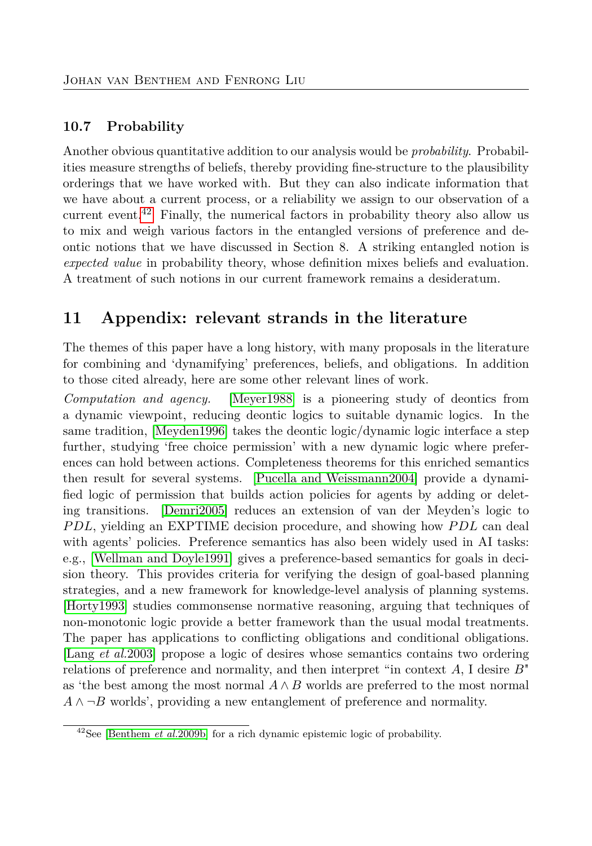### **10.7 Probability**

Another obvious quantitative addition to our analysis would be *probability*. Probabilities measure strengths of beliefs, thereby providing fine-structure to the plausibility orderings that we have worked with. But they can also indicate information that we have about a current process, or a reliability we assign to our observation of a current event.<sup>[42](#page-0-0)</sup> Finally, the numerical factors in probability theory also allow us to mix and weigh various factors in the entangled versions of preference and deontic notions that we have discussed in Section 8. A striking entangled notion is *expected value* in probability theory, whose definition mixes beliefs and evaluation. A treatment of such notions in our current framework remains a desideratum.

# **11 Appendix: relevant strands in the literature**

The themes of this paper have a long history, with many proposals in the literature for combining and 'dynamifying' preferences, beliefs, and obligations. In addition to those cited already, here are some other relevant lines of work.

*Computation and agency.* [\[Meyer1988\]](#page-43-11) is a pioneering study of deontics from a dynamic viewpoint, reducing deontic logics to suitable dynamic logics. In the same tradition, [\[Meyden1996\]](#page-43-13) takes the deontic logic/dynamic logic interface a step further, studying 'free choice permission' with a new dynamic logic where preferences can hold between actions. Completeness theorems for this enriched semantics then result for several systems. [\[Pucella and Weissmann2004\]](#page-44-14) provide a dynamified logic of permission that builds action policies for agents by adding or deleting transitions. [\[Demri2005\]](#page-40-14) reduces an extension of van der Meyden's logic to *P DL*, yielding an EXPTIME decision procedure, and showing how *P DL* can deal with agents' policies. Preference semantics has also been widely used in AI tasks: e.g., [\[Wellman and Doyle1991\]](#page-46-5) gives a preference-based semantics for goals in decision theory. This provides criteria for verifying the design of goal-based planning strategies, and a new framework for knowledge-level analysis of planning systems. [\[Horty1993\]](#page-42-15) studies commonsense normative reasoning, arguing that techniques of non-monotonic logic provide a better framework than the usual modal treatments. The paper has applications to conflicting obligations and conditional obligations. [\[Lang](#page-43-7) *et al.*2003] propose a logic of desires whose semantics contains two ordering relations of preference and normality, and then interpret "in context *A*, I desire *B*" as 'the best among the most normal  $A \wedge B$  worlds are preferred to the most normal  $A \wedge \neg B$  worlds', providing a new entanglement of preference and normality.

<sup>42</sup>See [\[Benthem](#page-38-13) *et al.*2009b] for a rich dynamic epistemic logic of probability.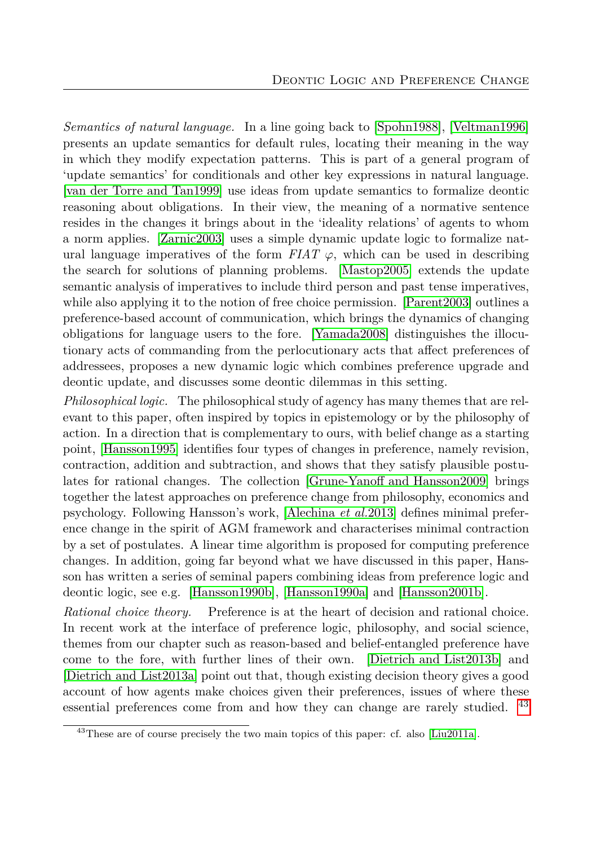*Semantics of natural language.* In a line going back to [\[Spohn1988\]](#page-45-5), [\[Veltman1996\]](#page-45-3) presents an update semantics for default rules, locating their meaning in the way in which they modify expectation patterns. This is part of a general program of 'update semantics' for conditionals and other key expressions in natural language. [\[van der Torre and Tan1999\]](#page-45-15) use ideas from update semantics to formalize deontic reasoning about obligations. In their view, the meaning of a normative sentence resides in the changes it brings about in the 'ideality relations' of agents to whom a norm applies. [\[Zarnic2003\]](#page-46-6) uses a simple dynamic update logic to formalize natural language imperatives of the form  $F IAT \varphi$ , which can be used in describing the search for solutions of planning problems. [\[Mastop2005\]](#page-43-15) extends the update semantic analysis of imperatives to include third person and past tense imperatives, while also applying it to the notion of free choice permission. [\[Parent2003\]](#page-44-15) outlines a preference-based account of communication, which brings the dynamics of changing obligations for language users to the fore. [\[Yamada2008\]](#page-46-7) distinguishes the illocutionary acts of commanding from the perlocutionary acts that affect preferences of addressees, proposes a new dynamic logic which combines preference upgrade and deontic update, and discusses some deontic dilemmas in this setting.

*Philosophical logic.* The philosophical study of agency has many themes that are relevant to this paper, often inspired by topics in epistemology or by the philosophy of action. In a direction that is complementary to ours, with belief change as a starting point, [\[Hansson1995\]](#page-41-13) identifies four types of changes in preference, namely revision, contraction, addition and subtraction, and shows that they satisfy plausible postulates for rational changes. The collection [\[Grune-Yanoff and Hansson2009\]](#page-41-4) brings together the latest approaches on preference change from philosophy, economics and psychology. Following Hansson's work, [\[Alechina](#page-37-5) *et al.*2013] defines minimal preference change in the spirit of AGM framework and characterises minimal contraction by a set of postulates. A linear time algorithm is proposed for computing preference changes. In addition, going far beyond what we have discussed in this paper, Hansson has written a series of seminal papers combining ideas from preference logic and deontic logic, see e.g. [\[Hansson1990b\]](#page-41-14), [\[Hansson1990a\]](#page-41-15) and [\[Hansson2001b\]](#page-42-16).

*Rational choice theory.* Preference is at the heart of decision and rational choice. In recent work at the interface of preference logic, philosophy, and social science, themes from our chapter such as reason-based and belief-entangled preference have come to the fore, with further lines of their own. [\[Dietrich and List2013b\]](#page-40-15) and [\[Dietrich and List2013a\]](#page-40-16) point out that, though existing decision theory gives a good account of how agents make choices given their preferences, issues of where these essential preferences come from and how they can change are rarely studied. <sup>[43](#page-0-0)</sup>

<sup>&</sup>lt;sup>43</sup>These are of course precisely the two main topics of this paper: cf. also [\[Liu2011a\]](#page-43-4).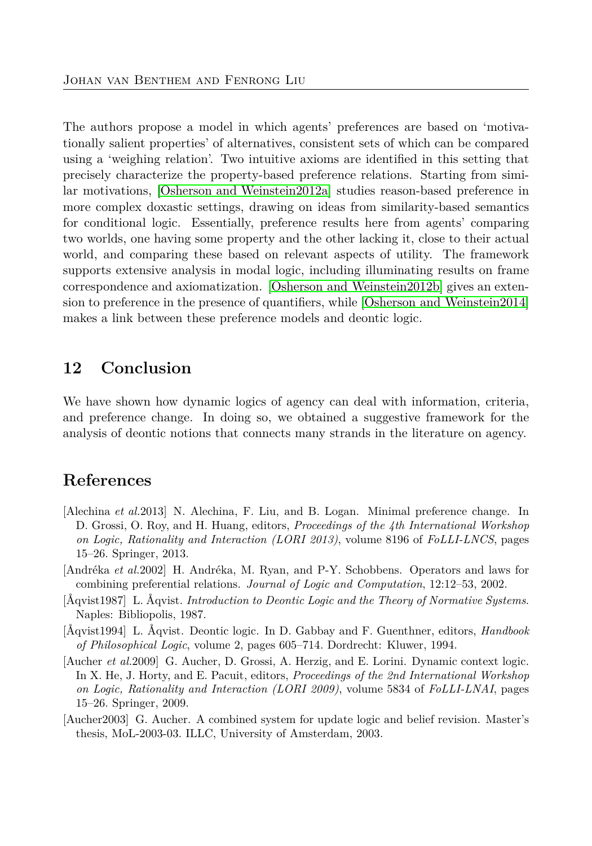The authors propose a model in which agents' preferences are based on 'motivationally salient properties' of alternatives, consistent sets of which can be compared using a 'weighing relation'. Two intuitive axioms are identified in this setting that precisely characterize the property-based preference relations. Starting from similar motivations, [\[Osherson and Weinstein2012a\]](#page-43-16) studies reason-based preference in more complex doxastic settings, drawing on ideas from similarity-based semantics for conditional logic. Essentially, preference results here from agents' comparing two worlds, one having some property and the other lacking it, close to their actual world, and comparing these based on relevant aspects of utility. The framework supports extensive analysis in modal logic, including illuminating results on frame correspondence and axiomatization. [\[Osherson and Weinstein2012b\]](#page-43-17) gives an extension to preference in the presence of quantifiers, while [\[Osherson and Weinstein2014\]](#page-43-18) makes a link between these preference models and deontic logic.

## **12 Conclusion**

We have shown how dynamic logics of agency can deal with information, criteria, and preference change. In doing so, we obtained a suggestive framework for the analysis of deontic notions that connects many strands in the literature on agency.

## **References**

- <span id="page-37-5"></span>[Alechina *et al.*2013] N. Alechina, F. Liu, and B. Logan. Minimal preference change. In D. Grossi, O. Roy, and H. Huang, editors, *Proceedings of the 4th International Workshop on Logic, Rationality and Interaction (LORI 2013)*, volume 8196 of *FoLLI-LNCS*, pages 15–26. Springer, 2013.
- <span id="page-37-2"></span>[Andréka *et al.*2002] H. Andréka, M. Ryan, and P-Y. Schobbens. Operators and laws for combining preferential relations. *Journal of Logic and Computation*, 12:12–53, 2002.
- <span id="page-37-0"></span>[Åqvist1987] L. Åqvist. *Introduction to Deontic Logic and the Theory of Normative Systems*. Naples: Bibliopolis, 1987.
- <span id="page-37-1"></span>[Åqvist1994] L. Åqvist. Deontic logic. In D. Gabbay and F. Guenthner, editors, *Handbook of Philosophical Logic*, volume 2, pages 605–714. Dordrecht: Kluwer, 1994.
- <span id="page-37-3"></span>[Aucher *et al.*2009] G. Aucher, D. Grossi, A. Herzig, and E. Lorini. Dynamic context logic. In X. He, J. Horty, and E. Pacuit, editors, *Proceedings of the 2nd International Workshop on Logic, Rationality and Interaction (LORI 2009)*, volume 5834 of *FoLLI-LNAI*, pages 15–26. Springer, 2009.
- <span id="page-37-4"></span>[Aucher2003] G. Aucher. A combined system for update logic and belief revision. Master's thesis, MoL-2003-03. ILLC, University of Amsterdam, 2003.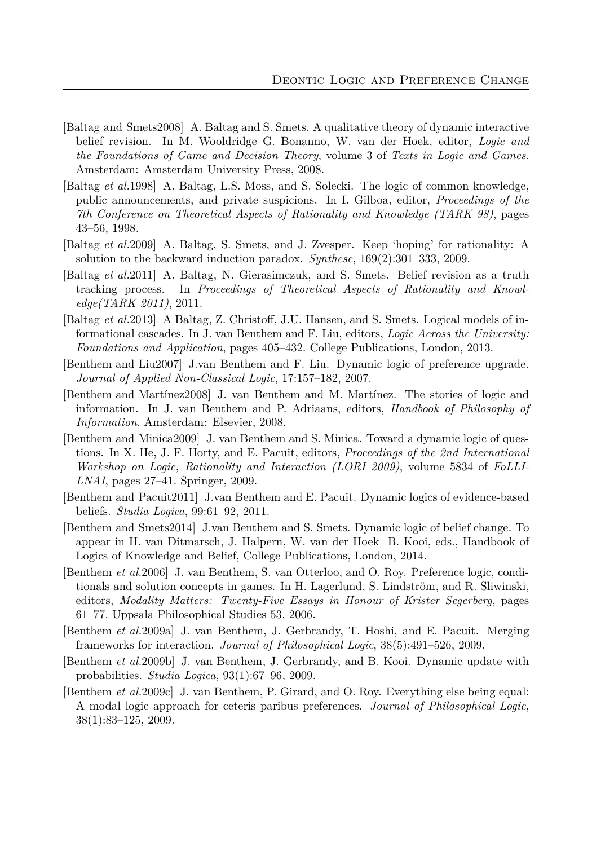- <span id="page-38-3"></span>[Baltag and Smets2008] A. Baltag and S. Smets. A qualitative theory of dynamic interactive belief revision. In M. Wooldridge G. Bonanno, W. van der Hoek, editor, *Logic and the Foundations of Game and Decision Theory*, volume 3 of *Texts in Logic and Games*. Amsterdam: Amsterdam University Press, 2008.
- <span id="page-38-7"></span>[Baltag *et al.*1998] A. Baltag, L.S. Moss, and S. Solecki. The logic of common knowledge, public announcements, and private suspicions. In I. Gilboa, editor, *Proceedings of the 7th Conference on Theoretical Aspects of Rationality and Knowledge (TARK 98)*, pages 43–56, 1998.
- <span id="page-38-5"></span>[Baltag *et al.*2009] A. Baltag, S. Smets, and J. Zvesper. Keep 'hoping' for rationality: A solution to the backward induction paradox. *Synthese*, 169(2):301–333, 2009.
- <span id="page-38-4"></span>[Baltag *et al.*2011] A. Baltag, N. Gierasimczuk, and S. Smets. Belief revision as a truth tracking process. In *Proceedings of Theoretical Aspects of Rationality and Knowledge(TARK 2011)*, 2011.
- <span id="page-38-9"></span>[Baltag *et al.*2013] A Baltag, Z. Christoff, J.U. Hansen, and S. Smets. Logical models of informational cascades. In J. van Benthem and F. Liu, editors, *Logic Across the University: Foundations and Application*, pages 405–432. College Publications, London, 2013.
- <span id="page-38-2"></span>[Benthem and Liu2007] J.van Benthem and F. Liu. Dynamic logic of preference upgrade. *Journal of Applied Non-Classical Logic*, 17:157–182, 2007.
- <span id="page-38-12"></span>[Benthem and Martínez2008] J. van Benthem and M. Martínez. The stories of logic and information. In J. van Benthem and P. Adriaans, editors, *Handbook of Philosophy of Information*. Amsterdam: Elsevier, 2008.
- <span id="page-38-8"></span>[Benthem and Minica2009] J. van Benthem and S. Minica. Toward a dynamic logic of questions. In X. He, J. F. Horty, and E. Pacuit, editors, *Proceedings of the 2nd International Workshop on Logic, Rationality and Interaction (LORI 2009)*, volume 5834 of *FoLLI-LNAI*, pages 27–41. Springer, 2009.
- <span id="page-38-0"></span>[Benthem and Pacuit2011] J.van Benthem and E. Pacuit. Dynamic logics of evidence-based beliefs. *Studia Logica*, 99:61–92, 2011.
- <span id="page-38-6"></span>[Benthem and Smets2014] J.van Benthem and S. Smets. Dynamic logic of belief change. To appear in H. van Ditmarsch, J. Halpern, W. van der Hoek B. Kooi, eds., Handbook of Logics of Knowledge and Belief, College Publications, London, 2014.
- <span id="page-38-10"></span>[Benthem *et al.*2006] J. van Benthem, S. van Otterloo, and O. Roy. Preference logic, conditionals and solution concepts in games. In H. Lagerlund, S. Lindström, and R. Sliwinski, editors, *Modality Matters: Twenty-Five Essays in Honour of Krister Segerberg*, pages 61–77. Uppsala Philosophical Studies 53, 2006.
- <span id="page-38-1"></span>[Benthem *et al.*2009a] J. van Benthem, J. Gerbrandy, T. Hoshi, and E. Pacuit. Merging frameworks for interaction. *Journal of Philosophical Logic*, 38(5):491–526, 2009.
- <span id="page-38-13"></span>[Benthem *et al.*2009b] J. van Benthem, J. Gerbrandy, and B. Kooi. Dynamic update with probabilities. *Studia Logica*, 93(1):67–96, 2009.
- <span id="page-38-11"></span>[Benthem *et al.*2009c] J. van Benthem, P. Girard, and O. Roy. Everything else being equal: A modal logic approach for ceteris paribus preferences. *Journal of Philosophical Logic*, 38(1):83–125, 2009.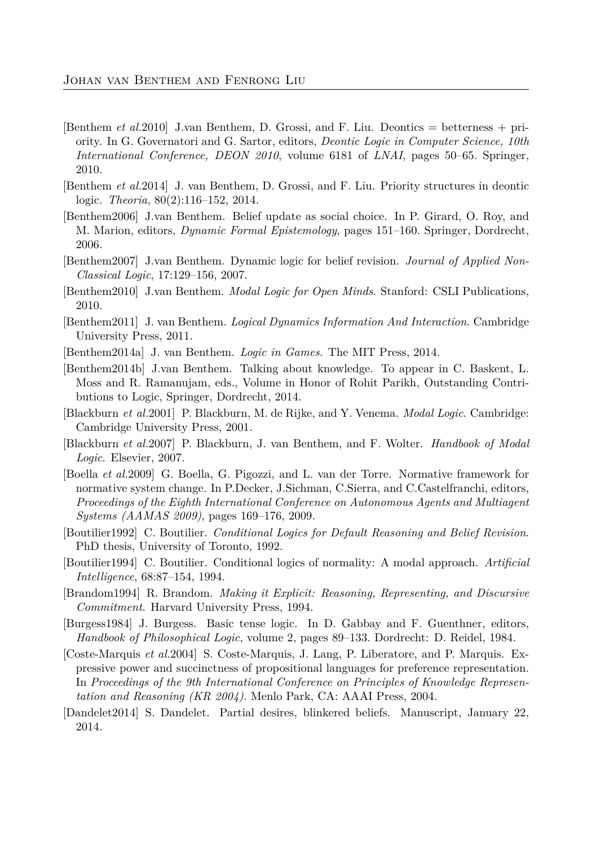- <span id="page-39-12"></span>[Benthem *et al.*2010] J.van Benthem, D. Grossi, and F. Liu. Deontics = betterness + priority. In G. Governatori and G. Sartor, editors, *Deontic Logic in Computer Science, 10th International Conference, DEON 2010*, volume 6181 of *LNAI*, pages 50–65. Springer, 2010.
- <span id="page-39-0"></span>[Benthem *et al.*2014] J. van Benthem, D. Grossi, and F. Liu. Priority structures in deontic logic. *Theoria*, 80(2):116–152, 2014.
- <span id="page-39-11"></span>[Benthem2006] J.van Benthem. Belief update as social choice. In P. Girard, O. Roy, and M. Marion, editors, *Dynamic Formal Epistemology*, pages 151–160. Springer, Dordrecht, 2006.
- <span id="page-39-8"></span>[Benthem2007] J.van Benthem. Dynamic logic for belief revision. *Journal of Applied Non-Classical Logic*, 17:129–156, 2007.
- <span id="page-39-6"></span>[Benthem2010] J.van Benthem. *Modal Logic for Open Minds*. Stanford: CSLI Publications, 2010.
- <span id="page-39-9"></span>[Benthem2011] J. van Benthem. *Logical Dynamics Information And Interaction*. Cambridge University Press, 2011.
- <span id="page-39-2"></span>[Benthem2014a] J. van Benthem. *Logic in Games*. The MIT Press, 2014.
- <span id="page-39-10"></span>[Benthem2014b] J.van Benthem. Talking about knowledge. To appear in C. Baskent, L. Moss and R. Ramanujam, eds., Volume in Honor of Rohit Parikh, Outstanding Contributions to Logic, Springer, Dordrecht, 2014.
- <span id="page-39-1"></span>[Blackburn *et al.*2001] P. Blackburn, M. de Rijke, and Y. Venema. *Modal Logic*. Cambridge: Cambridge University Press, 2001.
- <span id="page-39-4"></span>[Blackburn *et al.*2007] P. Blackburn, J. van Benthem, and F. Wolter. *Handbook of Modal Logic*. Elsevier, 2007.
- <span id="page-39-16"></span>[Boella *et al.*2009] G. Boella, G. Pigozzi, and L. van der Torre. Normative framework for normative system change. In P.Decker, J.Sichman, C.Sierra, and C.Castelfranchi, editors, *Proceedings of the Eighth International Conference on Autonomous Agents and Multiagent Systems (AAMAS 2009)*, pages 169–176, 2009.
- <span id="page-39-3"></span>[Boutilier1992] C. Boutilier. *Conditional Logics for Default Reasoning and Belief Revision*. PhD thesis, University of Toronto, 1992.
- <span id="page-39-7"></span>[Boutilier1994] C. Boutilier. Conditional logics of normality: A modal approach. *Artificial Intelligence*, 68:87–154, 1994.
- <span id="page-39-14"></span>[Brandom1994] R. Brandom. *Making it Explicit: Reasoning, Representing, and Discursive Commitment*. Harvard University Press, 1994.
- <span id="page-39-5"></span>[Burgess1984] J. Burgess. Basic tense logic. In D. Gabbay and F. Guenthner, editors, *Handbook of Philosophical Logic*, volume 2, pages 89–133. Dordrecht: D. Reidel, 1984.
- <span id="page-39-13"></span>[Coste-Marquis *et al.*2004] S. Coste-Marquis, J. Lang, P. Liberatore, and P. Marquis. Expressive power and succinctness of propositional languages for preference representation. In *Proceedings of the 9th International Conference on Principles of Knowledge Representation and Reasoning (KR 2004)*. Menlo Park, CA: AAAI Press, 2004.
- <span id="page-39-15"></span>[Dandelet2014] S. Dandelet. Partial desires, blinkered beliefs. Manuscript, January 22, 2014.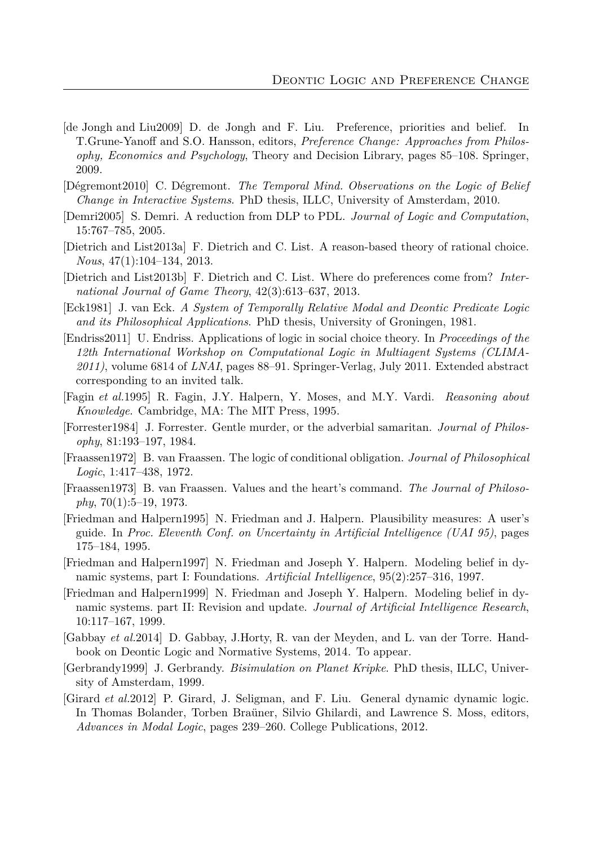- <span id="page-40-7"></span>[de Jongh and Liu2009] D. de Jongh and F. Liu. Preference, priorities and belief. In T.Grune-Yanoff and S.O. Hansson, editors, *Preference Change: Approaches from Philosophy, Economics and Psychology*, Theory and Decision Library, pages 85–108. Springer, 2009.
- <span id="page-40-12"></span>[Dégremont2010] C. Dégremont. *The Temporal Mind. Observations on the Logic of Belief Change in Interactive Systems*. PhD thesis, ILLC, University of Amsterdam, 2010.
- <span id="page-40-14"></span>[Demri2005] S. Demri. A reduction from DLP to PDL. *Journal of Logic and Computation*, 15:767–785, 2005.
- <span id="page-40-16"></span>[Dietrich and List2013a] F. Dietrich and C. List. A reason-based theory of rational choice. *Nous*, 47(1):104–134, 2013.
- <span id="page-40-15"></span>[Dietrich and List2013b] F. Dietrich and C. List. Where do preferences come from? *International Journal of Game Theory*, 42(3):613–637, 2013.
- <span id="page-40-13"></span>[Eck1981] J. van Eck. *A System of Temporally Relative Modal and Deontic Predicate Logic and its Philosophical Applications*. PhD thesis, University of Groningen, 1981.
- <span id="page-40-11"></span>[Endriss2011] U. Endriss. Applications of logic in social choice theory. In *Proceedings of the 12th International Workshop on Computational Logic in Multiagent Systems (CLIMA-2011)*, volume 6814 of *LNAI*, pages 88–91. Springer-Verlag, July 2011. Extended abstract corresponding to an invited talk.
- <span id="page-40-0"></span>[Fagin *et al.*1995] R. Fagin, J.Y. Halpern, Y. Moses, and M.Y. Vardi. *Reasoning about Knowledge*. Cambridge, MA: The MIT Press, 1995.
- <span id="page-40-10"></span>[Forrester1984] J. Forrester. Gentle murder, or the adverbial samaritan. *Journal of Philosophy*, 81:193–197, 1984.
- <span id="page-40-4"></span>[Fraassen1972] B. van Fraassen. The logic of conditional obligation. *Journal of Philosophical Logic*, 1:417–438, 1972.
- <span id="page-40-5"></span>[Fraassen1973] B. van Fraassen. Values and the heart's command. *The Journal of Philosophy*, 70(1):5–19, 1973.
- <span id="page-40-9"></span>[Friedman and Halpern1995] N. Friedman and J. Halpern. Plausibility measures: A user's guide. In *Proc. Eleventh Conf. on Uncertainty in Artificial Intelligence (UAI 95)*, pages 175–184, 1995.
- <span id="page-40-2"></span>[Friedman and Halpern1997] N. Friedman and Joseph Y. Halpern. Modeling belief in dynamic systems, part I: Foundations. *Artificial Intelligence*, 95(2):257–316, 1997.
- <span id="page-40-3"></span>[Friedman and Halpern1999] N. Friedman and Joseph Y. Halpern. Modeling belief in dynamic systems. part II: Revision and update. *Journal of Artificial Intelligence Research*, 10:117–167, 1999.
- <span id="page-40-6"></span>[Gabbay *et al.*2014] D. Gabbay, J.Horty, R. van der Meyden, and L. van der Torre. Handbook on Deontic Logic and Normative Systems, 2014. To appear.
- <span id="page-40-1"></span>[Gerbrandy1999] J. Gerbrandy. *Bisimulation on Planet Kripke*. PhD thesis, ILLC, University of Amsterdam, 1999.
- <span id="page-40-8"></span>[Girard *et al.*2012] P. Girard, J. Seligman, and F. Liu. General dynamic dynamic logic. In Thomas Bolander, Torben Braüner, Silvio Ghilardi, and Lawrence S. Moss, editors, *Advances in Modal Logic*, pages 239–260. College Publications, 2012.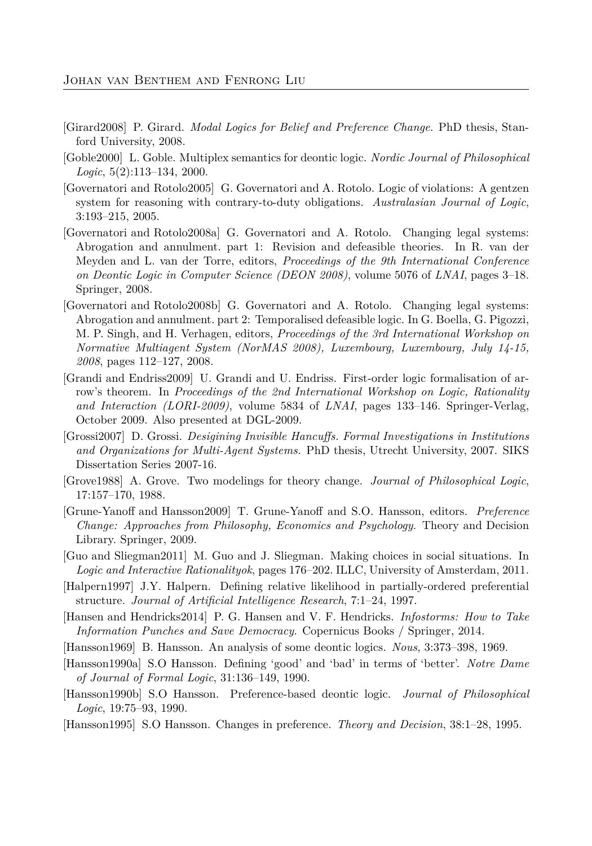- <span id="page-41-1"></span>[Girard2008] P. Girard. *Modal Logics for Belief and Preference Change*. PhD thesis, Stanford University, 2008.
- <span id="page-41-8"></span>[Goble2000] L. Goble. Multiplex semantics for deontic logic. *Nordic Journal of Philosophical Logic*, 5(2):113–134, 2000.
- <span id="page-41-9"></span>[Governatori and Rotolo2005] G. Governatori and A. Rotolo. Logic of violations: A gentzen system for reasoning with contrary-to-duty obligations. *Australasian Journal of Logic*, 3:193–215, 2005.
- <span id="page-41-10"></span>[Governatori and Rotolo2008a] G. Governatori and A. Rotolo. Changing legal systems: Abrogation and annulment. part 1: Revision and defeasible theories. In R. van der Meyden and L. van der Torre, editors, *Proceedings of the 9th International Conference on Deontic Logic in Computer Science (DEON 2008)*, volume 5076 of *LNAI*, pages 3–18. Springer, 2008.
- <span id="page-41-11"></span>[Governatori and Rotolo2008b] G. Governatori and A. Rotolo. Changing legal systems: Abrogation and annulment. part 2: Temporalised defeasible logic. In G. Boella, G. Pigozzi, M. P. Singh, and H. Verhagen, editors, *Proceedings of the 3rd International Workshop on Normative Multiagent System (NorMAS 2008), Luxembourg, Luxembourg, July 14-15, 2008*, pages 112–127, 2008.
- <span id="page-41-6"></span>[Grandi and Endriss2009] U. Grandi and U. Endriss. First-order logic formalisation of arrow's theorem. In *Proceedings of the 2nd International Workshop on Logic, Rationality and Interaction (LORI-2009)*, volume 5834 of *LNAI*, pages 133–146. Springer-Verlag, October 2009. Also presented at DGL-2009.
- <span id="page-41-12"></span>[Grossi2007] D. Grossi. *Desigining Invisible Hancuffs. Formal Investigations in Institutions and Organizations for Multi-Agent Systems.* PhD thesis, Utrecht University, 2007. SIKS Dissertation Series 2007-16.
- <span id="page-41-0"></span>[Grove1988] A. Grove. Two modelings for theory change. *Journal of Philosophical Logic*, 17:157–170, 1988.
- <span id="page-41-4"></span>[Grune-Yanoff and Hansson2009] T. Grune-Yanoff and S.O. Hansson, editors. *Preference Change: Approaches from Philosophy, Economics and Psychology*. Theory and Decision Library. Springer, 2009.
- <span id="page-41-7"></span>[Guo and Sliegman2011] M. Guo and J. Sliegman. Making choices in social situations. In *Logic and Interactive Rationalityok*, pages 176–202. ILLC, University of Amsterdam, 2011.
- <span id="page-41-5"></span>[Halpern1997] J.Y. Halpern. Defining relative likelihood in partially-ordered preferential structure. *Journal of Artificial Intelligence Research*, 7:1–24, 1997.
- <span id="page-41-2"></span>[Hansen and Hendricks2014] P. G. Hansen and V. F. Hendricks. *Infostorms: How to Take Information Punches and Save Democracy*. Copernicus Books / Springer, 2014.
- <span id="page-41-3"></span>[Hansson1969] B. Hansson. An analysis of some deontic logics. *Nous*, 3:373–398, 1969.
- <span id="page-41-15"></span>[Hansson1990a] S.O Hansson. Defining 'good' and 'bad' in terms of 'better'. *Notre Dame of Journal of Formal Logic*, 31:136–149, 1990.
- <span id="page-41-14"></span>[Hansson1990b] S.O Hansson. Preference-based deontic logic. *Journal of Philosophical Logic*, 19:75–93, 1990.
- <span id="page-41-13"></span>[Hansson1995] S.O Hansson. Changes in preference. *Theory and Decision*, 38:1–28, 1995.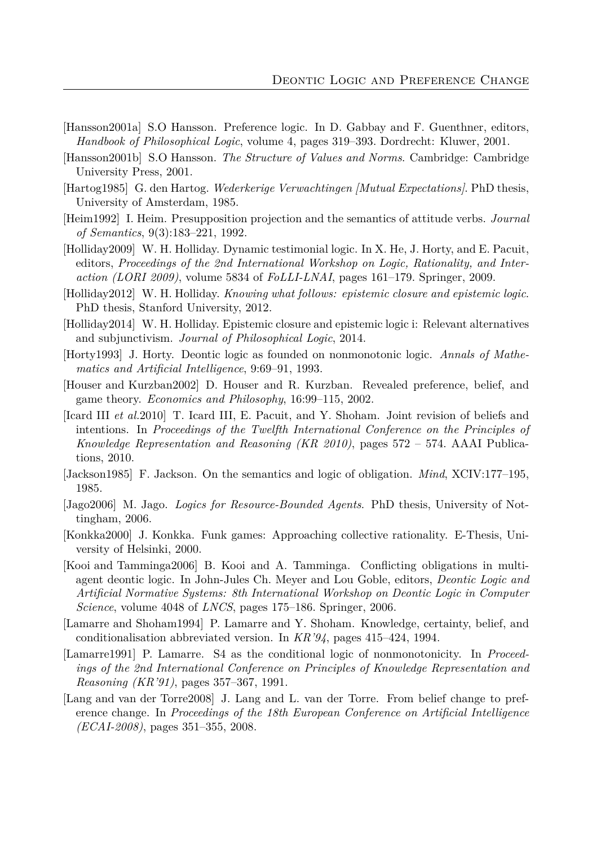- <span id="page-42-6"></span>[Hansson2001a] S.O Hansson. Preference logic. In D. Gabbay and F. Guenthner, editors, *Handbook of Philosophical Logic*, volume 4, pages 319–393. Dordrecht: Kluwer, 2001.
- <span id="page-42-16"></span>[Hansson2001b] S.O Hansson. *The Structure of Values and Norms*. Cambridge: Cambridge University Press, 2001.
- <span id="page-42-11"></span>[Hartog1985] G. den Hartog. *Wederkerige Verwachtingen [Mutual Expectations]*. PhD thesis, University of Amsterdam, 1985.
- <span id="page-42-9"></span>[Heim1992] I. Heim. Presupposition projection and the semantics of attitude verbs. *Journal of Semantics*, 9(3):183–221, 1992.
- <span id="page-42-4"></span>[Holliday2009] W. H. Holliday. Dynamic testimonial logic. In X. He, J. Horty, and E. Pacuit, editors, *Proceedings of the 2nd International Workshop on Logic, Rationality, and Interaction (LORI 2009)*, volume 5834 of *FoLLI-LNAI*, pages 161–179. Springer, 2009.
- <span id="page-42-0"></span>[Holliday2012] W. H. Holliday. *Knowing what follows: epistemic closure and epistemic logic*. PhD thesis, Stanford University, 2012.
- <span id="page-42-7"></span>[Holliday2014] W. H. Holliday. Epistemic closure and epistemic logic i: Relevant alternatives and subjunctivism. *Journal of Philosophical Logic*, 2014.
- <span id="page-42-15"></span>[Horty1993] J. Horty. Deontic logic as founded on nonmonotonic logic. *Annals of Mathematics and Artificial Intelligence*, 9:69–91, 1993.
- <span id="page-42-8"></span>[Houser and Kurzban2002] D. Houser and R. Kurzban. Revealed preference, belief, and game theory. *Economics and Philosophy*, 16:99–115, 2002.
- <span id="page-42-3"></span>[Icard III *et al.*2010] T. Icard III, E. Pacuit, and Y. Shoham. Joint revision of beliefs and intentions. In *Proceedings of the Twelfth International Conference on the Principles of Knowledge Representation and Reasoning (KR 2010)*, pages 572 – 574. AAAI Publications, 2010.
- <span id="page-42-5"></span>[Jackson1985] F. Jackson. On the semantics and logic of obligation. *Mind*, XCIV:177–195, 1985.
- <span id="page-42-14"></span>[Jago2006] M. Jago. *Logics for Resource-Bounded Agents*. PhD thesis, University of Nottingham, 2006.
- <span id="page-42-13"></span>[Konkka2000] J. Konkka. Funk games: Approaching collective rationality. E-Thesis, University of Helsinki, 2000.
- <span id="page-42-12"></span>[Kooi and Tamminga2006] B. Kooi and A. Tamminga. Conflicting obligations in multiagent deontic logic. In John-Jules Ch. Meyer and Lou Goble, editors, *Deontic Logic and Artificial Normative Systems: 8th International Workshop on Deontic Logic in Computer Science*, volume 4048 of *LNCS*, pages 175–186. Springer, 2006.
- <span id="page-42-1"></span>[Lamarre and Shoham1994] P. Lamarre and Y. Shoham. Knowledge, certainty, belief, and conditionalisation abbreviated version. In *KR'94*, pages 415–424, 1994.
- <span id="page-42-2"></span>[Lamarre1991] P. Lamarre. S4 as the conditional logic of nonmonotonicity. In *Proceedings of the 2nd International Conference on Principles of Knowledge Representation and Reasoning (KR'91)*, pages 357–367, 1991.
- <span id="page-42-10"></span>[Lang and van der Torre2008] J. Lang and L. van der Torre. From belief change to preference change. In *Proceedings of the 18th European Conference on Artificial Intelligence (ECAI-2008)*, pages 351–355, 2008.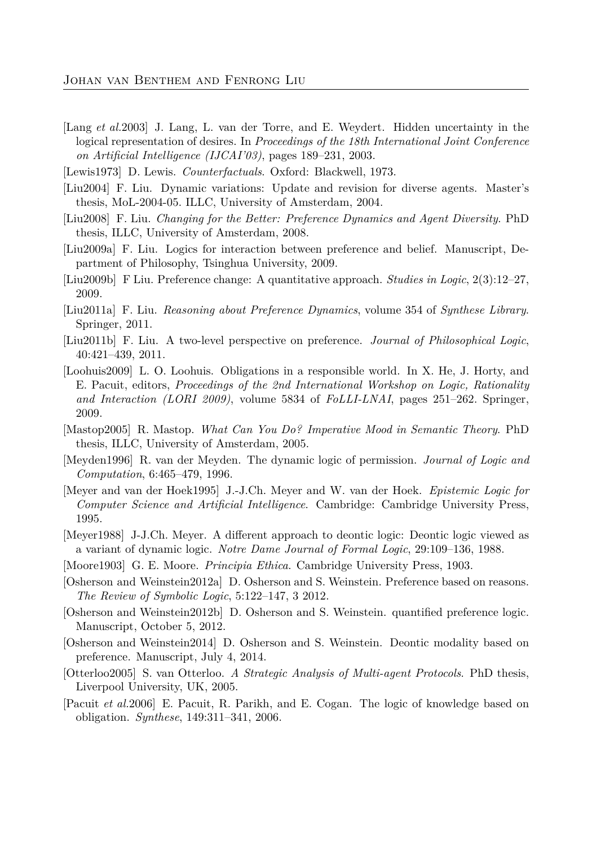<span id="page-43-7"></span>[Lang *et al.*2003] J. Lang, L. van der Torre, and E. Weydert. Hidden uncertainty in the logical representation of desires. In *Proceedings of the 18th International Joint Conference on Artificial Intelligence (IJCAI'03)*, pages 189–231, 2003.

<span id="page-43-1"></span>[Lewis1973] D. Lewis. *Counterfactuals*. Oxford: Blackwell, 1973.

- <span id="page-43-0"></span>[Liu2004] F. Liu. Dynamic variations: Update and revision for diverse agents. Master's thesis, MoL-2004-05. ILLC, University of Amsterdam, 2004.
- <span id="page-43-3"></span>[Liu2008] F. Liu. *Changing for the Better: Preference Dynamics and Agent Diversity*. PhD thesis, ILLC, University of Amsterdam, 2008.
- <span id="page-43-6"></span>[Liu2009a] F. Liu. Logics for interaction between preference and belief. Manuscript, Department of Philosophy, Tsinghua University, 2009.
- <span id="page-43-14"></span>[Liu2009b] F Liu. Preference change: A quantitative approach. *Studies in Logic*, 2(3):12–27, 2009.
- <span id="page-43-4"></span>[Liu2011a] F. Liu. *Reasoning about Preference Dynamics*, volume 354 of *Synthese Library*. Springer, 2011.
- <span id="page-43-5"></span>[Liu2011b] F. Liu. A two-level perspective on preference. *Journal of Philosophical Logic*, 40:421–439, 2011.
- <span id="page-43-12"></span>[Loohuis2009] L. O. Loohuis. Obligations in a responsible world. In X. He, J. Horty, and E. Pacuit, editors, *Proceedings of the 2nd International Workshop on Logic, Rationality and Interaction (LORI 2009)*, volume 5834 of *FoLLI-LNAI*, pages 251–262. Springer, 2009.
- <span id="page-43-15"></span>[Mastop2005] R. Mastop. *What Can You Do? Imperative Mood in Semantic Theory*. PhD thesis, ILLC, University of Amsterdam, 2005.
- <span id="page-43-13"></span>[Meyden1996] R. van der Meyden. The dynamic logic of permission. *Journal of Logic and Computation*, 6:465–479, 1996.
- <span id="page-43-10"></span>[Meyer and van der Hoek1995] J.-J.Ch. Meyer and W. van der Hoek. *Epistemic Logic for Computer Science and Artificial Intelligence*. Cambridge: Cambridge University Press, 1995.
- <span id="page-43-11"></span>[Meyer1988] J-J.Ch. Meyer. A different approach to deontic logic: Deontic logic viewed as a variant of dynamic logic. *Notre Dame Journal of Formal Logic*, 29:109–136, 1988.
- <span id="page-43-8"></span>[Moore1903] G. E. Moore. *Principia Ethica*. Cambridge University Press, 1903.
- <span id="page-43-16"></span>[Osherson and Weinstein2012a] D. Osherson and S. Weinstein. Preference based on reasons. *The Review of Symbolic Logic*, 5:122–147, 3 2012.
- <span id="page-43-17"></span>[Osherson and Weinstein2012b] D. Osherson and S. Weinstein. quantified preference logic. Manuscript, October 5, 2012.
- <span id="page-43-18"></span>[Osherson and Weinstein2014] D. Osherson and S. Weinstein. Deontic modality based on preference. Manuscript, July 4, 2014.
- <span id="page-43-2"></span>[Otterloo2005] S. van Otterloo. *A Strategic Analysis of Multi-agent Protocols*. PhD thesis, Liverpool University, UK, 2005.
- <span id="page-43-9"></span>[Pacuit *et al.*2006] E. Pacuit, R. Parikh, and E. Cogan. The logic of knowledge based on obligation. *Synthese*, 149:311–341, 2006.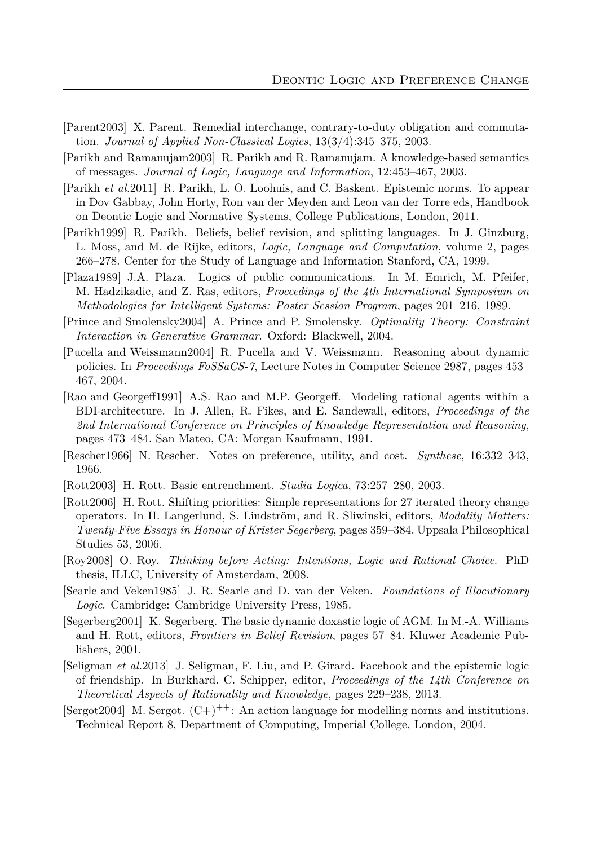- <span id="page-44-15"></span>[Parent2003] X. Parent. Remedial interchange, contrary-to-duty obligation and commutation. *Journal of Applied Non-Classical Logics*, 13(3/4):345–375, 2003.
- <span id="page-44-11"></span>[Parikh and Ramanujam2003] R. Parikh and R. Ramanujam. A knowledge-based semantics of messages. *Journal of Logic, Language and Information*, 12:453–467, 2003.
- <span id="page-44-8"></span>[Parikh *et al.*2011] R. Parikh, L. O. Loohuis, and C. Baskent. Epistemic norms. To appear in Dov Gabbay, John Horty, Ron van der Meyden and Leon van der Torre eds, Handbook on Deontic Logic and Normative Systems, College Publications, London, 2011.
- <span id="page-44-7"></span>[Parikh1999] R. Parikh. Beliefs, belief revision, and splitting languages. In J. Ginzburg, L. Moss, and M. de Rijke, editors, *Logic, Language and Computation*, volume 2, pages 266–278. Center for the Study of Language and Information Stanford, CA, 1999.
- <span id="page-44-0"></span>[Plaza1989] J.A. Plaza. Logics of public communications. In M. Emrich, M. Pfeifer, M. Hadzikadic, and Z. Ras, editors, *Proceedings of the 4th International Symposium on Methodologies for Intelligent Systems: Poster Session Program*, pages 201–216, 1989.
- <span id="page-44-5"></span>[Prince and Smolensky2004] A. Prince and P. Smolensky. *Optimality Theory: Constraint Interaction in Generative Grammar*. Oxford: Blackwell, 2004.
- <span id="page-44-14"></span>[Pucella and Weissmann2004] R. Pucella and V. Weissmann. Reasoning about dynamic policies. In *Proceedings FoSSaCS-7*, Lecture Notes in Computer Science 2987, pages 453– 467, 2004.
- <span id="page-44-10"></span>[Rao and Georgeff1991] A.S. Rao and M.P. Georgeff. Modeling rational agents within a BDI-architecture. In J. Allen, R. Fikes, and E. Sandewall, editors, *Proceedings of the 2nd International Conference on Principles of Knowledge Representation and Reasoning*, pages 473–484. San Mateo, CA: Morgan Kaufmann, 1991.
- <span id="page-44-13"></span>[Rescher1966] N. Rescher. Notes on preference, utility, and cost. *Synthese*, 16:332–343, 1966.
- <span id="page-44-6"></span>[Rott2003] H. Rott. Basic entrenchment. *Studia Logica*, 73:257–280, 2003.
- <span id="page-44-2"></span>[Rott2006] H. Rott. Shifting priorities: Simple representations for 27 iterated theory change operators. In H. Langerlund, S. Lindström, and R. Sliwinski, editors, *Modality Matters: Twenty-Five Essays in Honour of Krister Segerberg*, pages 359–384. Uppsala Philosophical Studies 53, 2006.
- <span id="page-44-3"></span>[Roy2008] O. Roy. *Thinking before Acting: Intentions, Logic and Rational Choice*. PhD thesis, ILLC, University of Amsterdam, 2008.
- <span id="page-44-9"></span>[Searle and Veken1985] J. R. Searle and D. van der Veken. *Foundations of Illocutionary Logic*. Cambridge: Cambridge University Press, 1985.
- <span id="page-44-1"></span>[Segerberg2001] K. Segerberg. The basic dynamic doxastic logic of AGM. In M.-A. Williams and H. Rott, editors, *Frontiers in Belief Revision*, pages 57–84. Kluwer Academic Publishers, 2001.
- <span id="page-44-4"></span>[Seligman *et al.*2013] J. Seligman, F. Liu, and P. Girard. Facebook and the epistemic logic of friendship. In Burkhard. C. Schipper, editor, *Proceedings of the 14th Conference on Theoretical Aspects of Rationality and Knowledge*, pages 229–238, 2013.
- <span id="page-44-12"></span>[Sergot2004] M. Sergot.  $(C+)$ <sup>++</sup>: An action language for modelling norms and institutions. Technical Report 8, Department of Computing, Imperial College, London, 2004.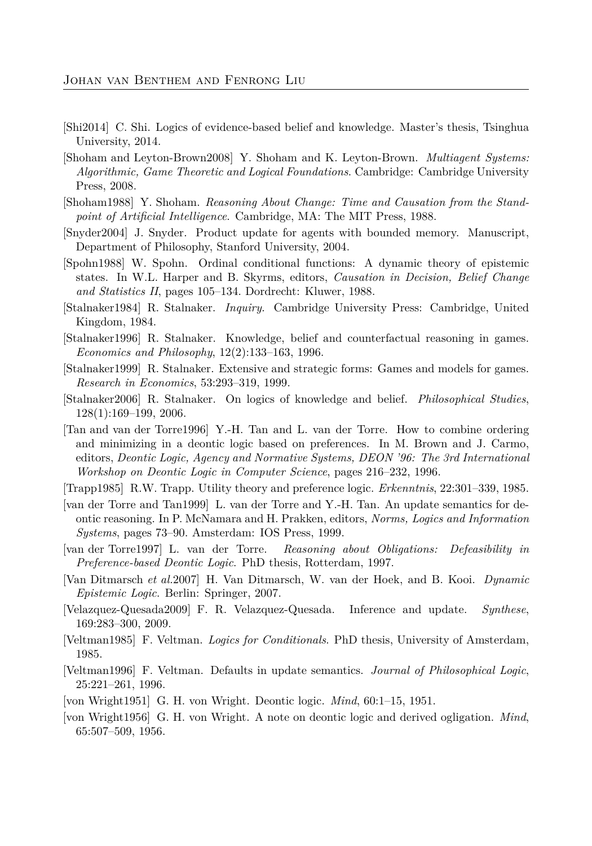- <span id="page-45-0"></span>[Shi2014] C. Shi. Logics of evidence-based belief and knowledge. Master's thesis, Tsinghua University, 2014.
- <span id="page-45-8"></span>[Shoham and Leyton-Brown2008] Y. Shoham and K. Leyton-Brown. *Multiagent Systems: Algorithmic, Game Theoretic and Logical Foundations*. Cambridge: Cambridge University Press, 2008.
- <span id="page-45-2"></span>[Shoham1988] Y. Shoham. *Reasoning About Change: Time and Causation from the Standpoint of Artificial Intelligence*. Cambridge, MA: The MIT Press, 1988.
- <span id="page-45-1"></span>[Snyder2004] J. Snyder. Product update for agents with bounded memory. Manuscript, Department of Philosophy, Stanford University, 2004.
- <span id="page-45-5"></span>[Spohn1988] W. Spohn. Ordinal conditional functions: A dynamic theory of epistemic states. In W.L. Harper and B. Skyrms, editors, *Causation in Decision, Belief Change and Statistics II*, pages 105–134. Dordrecht: Kluwer, 1988.
- <span id="page-45-16"></span>[Stalnaker1984] R. Stalnaker. *Inquiry*. Cambridge University Press: Cambridge, United Kingdom, 1984.
- <span id="page-45-4"></span>[Stalnaker1996] R. Stalnaker. Knowledge, belief and counterfactual reasoning in games. *Economics and Philosophy*, 12(2):133–163, 1996.
- <span id="page-45-6"></span>[Stalnaker1999] R. Stalnaker. Extensive and strategic forms: Games and models for games. *Research in Economics*, 53:293–319, 1999.
- <span id="page-45-9"></span>[Stalnaker2006] R. Stalnaker. On logics of knowledge and belief. *Philosophical Studies*, 128(1):169–199, 2006.
- <span id="page-45-17"></span>[Tan and van der Torre1996] Y.-H. Tan and L. van der Torre. How to combine ordering and minimizing in a deontic logic based on preferences. In M. Brown and J. Carmo, editors, *Deontic Logic, Agency and Normative Systems, DEON '96: The 3rd International Workshop on Deontic Logic in Computer Science*, pages 216–232, 1996.
- <span id="page-45-18"></span>[Trapp1985] R.W. Trapp. Utility theory and preference logic. *Erkenntnis*, 22:301–339, 1985.
- <span id="page-45-15"></span>[van der Torre and Tan1999] L. van der Torre and Y.-H. Tan. An update semantics for deontic reasoning. In P. McNamara and H. Prakken, editors, *Norms, Logics and Information Systems*, pages 73–90. Amsterdam: IOS Press, 1999.
- <span id="page-45-14"></span>[van der Torre1997] L. van der Torre. *Reasoning about Obligations: Defeasibility in Preference-based Deontic Logic*. PhD thesis, Rotterdam, 1997.
- <span id="page-45-10"></span>[Van Ditmarsch *et al.*2007] H. Van Ditmarsch, W. van der Hoek, and B. Kooi. *Dynamic Epistemic Logic*. Berlin: Springer, 2007.
- <span id="page-45-11"></span>[Velazquez-Quesada2009] F. R. Velazquez-Quesada. Inference and update. *Synthese*, 169:283–300, 2009.
- <span id="page-45-7"></span>[Veltman1985] F. Veltman. *Logics for Conditionals*. PhD thesis, University of Amsterdam, 1985.
- <span id="page-45-3"></span>[Veltman1996] F. Veltman. Defaults in update semantics. *Journal of Philosophical Logic*, 25:221–261, 1996.
- <span id="page-45-12"></span>[von Wright1951] G. H. von Wright. Deontic logic. *Mind*, 60:1–15, 1951.
- <span id="page-45-13"></span>[von Wright1956] G. H. von Wright. A note on deontic logic and derived ogligation. *Mind*, 65:507–509, 1956.